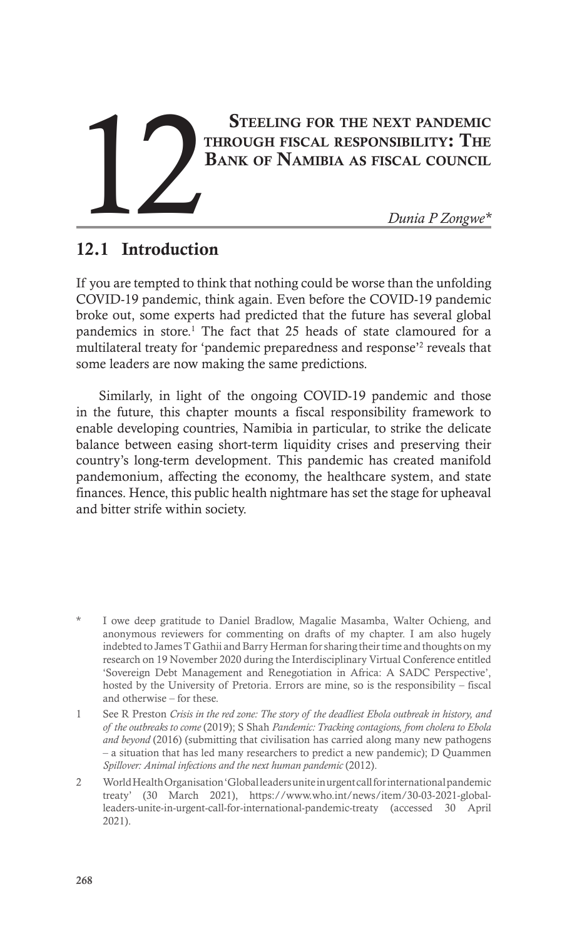# STEELING FOR THE NEXT PANDEMIC through fiscal responsibility: The STEELING FOR THE NEXT PANDEMIC<br>
THROUGH FISCAL RESPONSIBILITY: THE<br>
BANK OF NAMIBIA AS FISCAL COUNCIL<br>
Dunia P Zongwe\*

# 12.1 Introduction

If you are tempted to think that nothing could be worse than the unfolding COVID-19 pandemic, think again. Even before the COVID-19 pandemic broke out, some experts had predicted that the future has several global pandemics in store.<sup>1</sup> The fact that 25 heads of state clamoured for a multilateral treaty for 'pandemic preparedness and response'<sup>2</sup> reveals that some leaders are now making the same predictions.

Similarly, in light of the ongoing COVID-19 pandemic and those in the future, this chapter mounts a fiscal responsibility framework to enable developing countries, Namibia in particular, to strike the delicate balance between easing short-term liquidity crises and preserving their country's long-term development. This pandemic has created manifold pandemonium, affecting the economy, the healthcare system, and state finances. Hence, this public health nightmare has set the stage for upheaval and bitter strife within society.

1 See R Preston *Crisis in the red zone: The story of the deadliest Ebola outbreak in history, and of the outbreaks to come* (2019); S Shah *Pandemic: Tracking contagions, from cholera to Ebola and beyond* (2016) (submitting that civilisation has carried along many new pathogens – a situation that has led many researchers to predict a new pandemic); D Quammen *Spillover: Animal infections and the next human pandemic* (2012).

2 World Health Organisation 'Global leaders unite in urgent call for international pandemic treaty' (30 March 2021), https://www.who.int/news/item/30-03-2021-globalleaders-unite-in-urgent-call-for-international-pandemic-treaty (accessed 30 April 2021).

I owe deep gratitude to Daniel Bradlow, Magalie Masamba, Walter Ochieng, and anonymous reviewers for commenting on drafts of my chapter. I am also hugely indebted to James T Gathii and Barry Herman for sharing their time and thoughts on my research on 19 November 2020 during the Interdisciplinary Virtual Conference entitled 'Sovereign Debt Management and Renegotiation in Africa: A SADC Perspective', hosted by the University of Pretoria. Errors are mine, so is the responsibility – fiscal and otherwise – for these.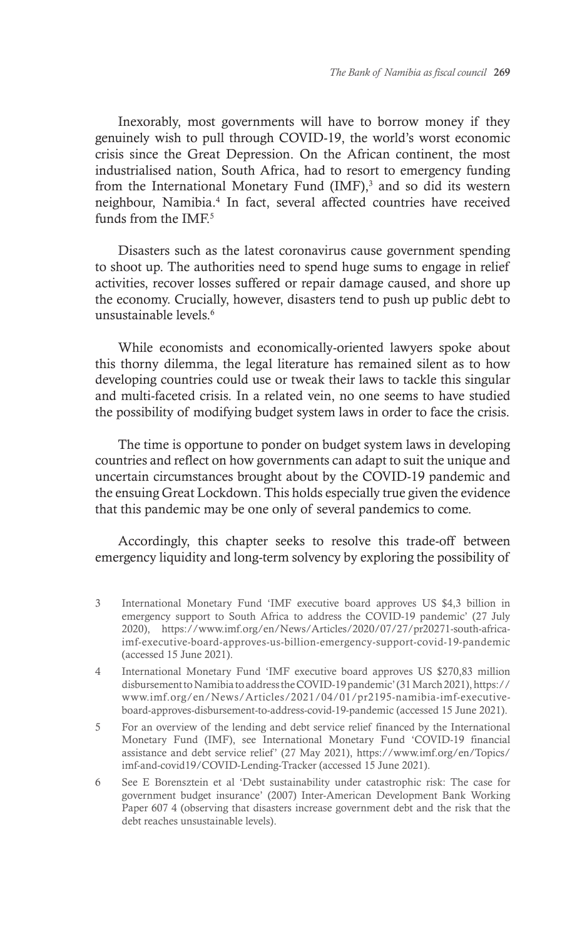Inexorably, most governments will have to borrow money if they genuinely wish to pull through COVID-19, the world's worst economic crisis since the Great Depression. On the African continent, the most industrialised nation, South Africa, had to resort to emergency funding from the International Monetary Fund  $(MF)$ ,<sup>3</sup> and so did its western neighbour, Namibia.4 In fact, several affected countries have received funds from the IMF.<sup>5</sup>

Disasters such as the latest coronavirus cause government spending to shoot up. The authorities need to spend huge sums to engage in relief activities, recover losses suffered or repair damage caused, and shore up the economy. Crucially, however, disasters tend to push up public debt to unsustainable levels<sup>6</sup>

While economists and economically-oriented lawyers spoke about this thorny dilemma, the legal literature has remained silent as to how developing countries could use or tweak their laws to tackle this singular and multi-faceted crisis. In a related vein, no one seems to have studied the possibility of modifying budget system laws in order to face the crisis.

The time is opportune to ponder on budget system laws in developing countries and reflect on how governments can adapt to suit the unique and uncertain circumstances brought about by the COVID-19 pandemic and the ensuing Great Lockdown. This holds especially true given the evidence that this pandemic may be one only of several pandemics to come.

Accordingly, this chapter seeks to resolve this trade-off between emergency liquidity and long-term solvency by exploring the possibility of

- 3 International Monetary Fund 'IMF executive board approves US \$4,3 billion in emergency support to South Africa to address the COVID-19 pandemic' (27 July 2020), https://www.imf.org/en/News/Articles/2020/07/27/pr20271-south-africaimf-executive-board-approves-us-billion-emergency-support-covid-19-pandemic (accessed 15 June 2021).
- 4 International Monetary Fund 'IMF executive board approves US \$270,83 million disbursement to Namibia to address the COVID-19 pandemic' (31 March 2021), https:// www.imf.org/en/News/Articles/2021/04/01/pr2195-namibia-imf-executiveboard-approves-disbursement-to-address-covid-19-pandemic (accessed 15 June 2021).
- 5 For an overview of the lending and debt service relief financed by the International Monetary Fund (IMF), see International Monetary Fund 'COVID-19 financial assistance and debt service relief' (27 May 2021), https://www.imf.org/en/Topics/ imf-and-covid19/COVID-Lending-Tracker (accessed 15 June 2021).
- 6 See E Borensztein et al 'Debt sustainability under catastrophic risk: The case for government budget insurance' (2007) Inter-American Development Bank Working Paper 607 4 (observing that disasters increase government debt and the risk that the debt reaches unsustainable levels).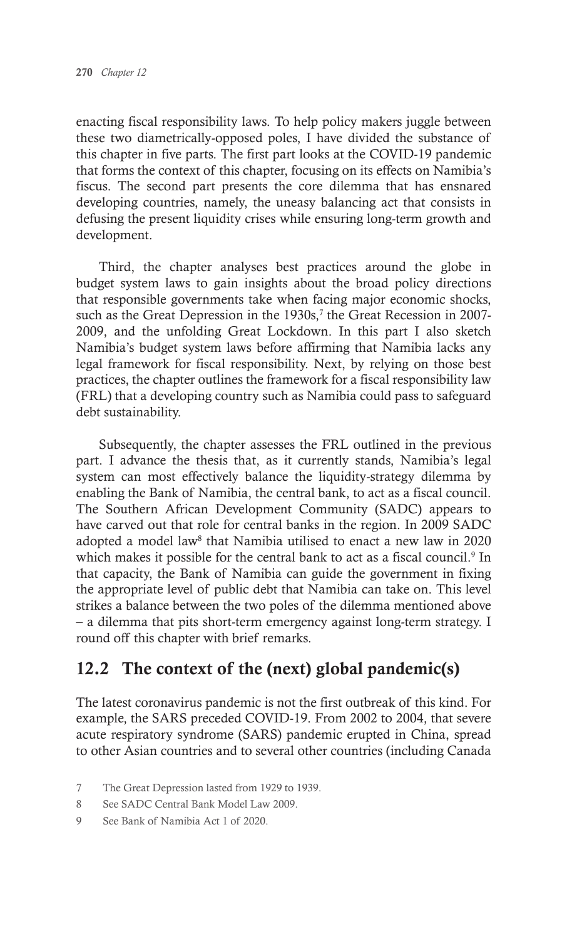enacting fiscal responsibility laws. To help policy makers juggle between these two diametrically-opposed poles, I have divided the substance of this chapter in five parts. The first part looks at the COVID-19 pandemic that forms the context of this chapter, focusing on its effects on Namibia's fiscus. The second part presents the core dilemma that has ensnared developing countries, namely, the uneasy balancing act that consists in defusing the present liquidity crises while ensuring long-term growth and development.

Third, the chapter analyses best practices around the globe in budget system laws to gain insights about the broad policy directions that responsible governments take when facing major economic shocks, such as the Great Depression in the 1930s,<sup>7</sup> the Great Recession in 2007-2009, and the unfolding Great Lockdown. In this part I also sketch Namibia's budget system laws before affirming that Namibia lacks any legal framework for fiscal responsibility. Next, by relying on those best practices, the chapter outlines the framework for a fiscal responsibility law (FRL) that a developing country such as Namibia could pass to safeguard debt sustainability.

Subsequently, the chapter assesses the FRL outlined in the previous part. I advance the thesis that, as it currently stands, Namibia's legal system can most effectively balance the liquidity-strategy dilemma by enabling the Bank of Namibia, the central bank, to act as a fiscal council. The Southern African Development Community (SADC) appears to have carved out that role for central banks in the region. In 2009 SADC adopted a model law<sup>8</sup> that Namibia utilised to enact a new law in 2020 which makes it possible for the central bank to act as a fiscal council.<sup>9</sup> In that capacity, the Bank of Namibia can guide the government in fixing the appropriate level of public debt that Namibia can take on. This level strikes a balance between the two poles of the dilemma mentioned above – a dilemma that pits short-term emergency against long-term strategy. I round off this chapter with brief remarks.

# 12.2 The context of the (next) global pandemic(s)

The latest coronavirus pandemic is not the first outbreak of this kind. For example, the SARS preceded COVID-19. From 2002 to 2004, that severe acute respiratory syndrome (SARS) pandemic erupted in China, spread to other Asian countries and to several other countries (including Canada

- 7 The Great Depression lasted from 1929 to 1939.
- 8 See SADC Central Bank Model Law 2009.
- 9 See Bank of Namibia Act 1 of 2020.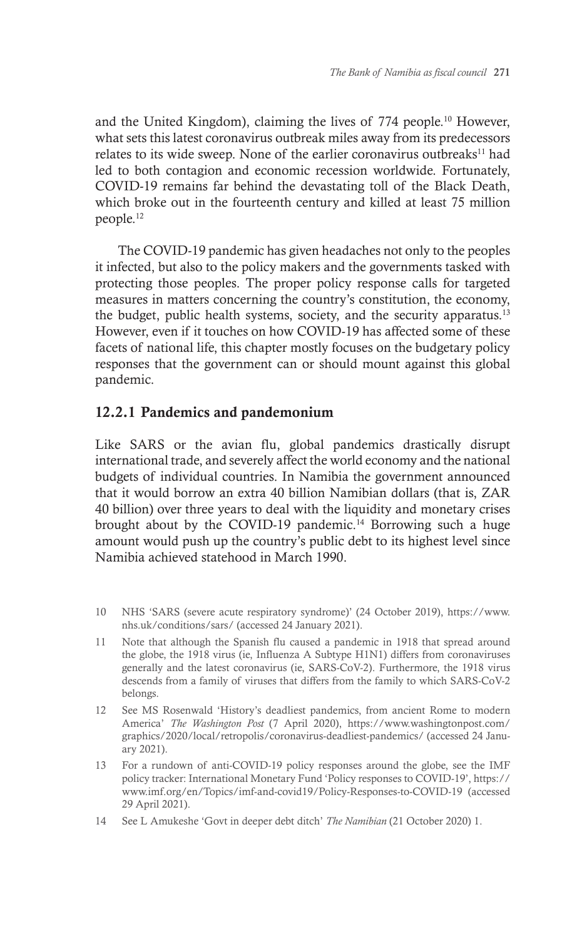and the United Kingdom), claiming the lives of 774 people.10 However, what sets this latest coronavirus outbreak miles away from its predecessors relates to its wide sweep. None of the earlier coronavirus outbreaks<sup>11</sup> had led to both contagion and economic recession worldwide. Fortunately, COVID-19 remains far behind the devastating toll of the Black Death, which broke out in the fourteenth century and killed at least 75 million people.12

The COVID-19 pandemic has given headaches not only to the peoples it infected, but also to the policy makers and the governments tasked with protecting those peoples. The proper policy response calls for targeted measures in matters concerning the country's constitution, the economy, the budget, public health systems, society, and the security apparatus.<sup>13</sup> However, even if it touches on how COVID-19 has affected some of these facets of national life, this chapter mostly focuses on the budgetary policy responses that the government can or should mount against this global pandemic.

## 12.2.1 Pandemics and pandemonium

Like SARS or the avian flu, global pandemics drastically disrupt international trade, and severely affect the world economy and the national budgets of individual countries. In Namibia the government announced that it would borrow an extra 40 billion Namibian dollars (that is, ZAR 40 billion) over three years to deal with the liquidity and monetary crises brought about by the COVID-19 pandemic.<sup>14</sup> Borrowing such a huge amount would push up the country's public debt to its highest level since Namibia achieved statehood in March 1990.

- 10 NHS 'SARS (severe acute respiratory syndrome)' (24 October 2019), https://www. nhs.uk/conditions/sars/ (accessed 24 January 2021).
- 11 Note that although the Spanish flu caused a pandemic in 1918 that spread around the globe, the 1918 virus (ie, Influenza A Subtype H1N1) differs from coronaviruses generally and the latest coronavirus (ie, SARS-CoV-2). Furthermore, the 1918 virus descends from a family of viruses that differs from the family to which SARS-CoV-2 belongs.
- 12 See MS Rosenwald 'History's deadliest pandemics, from ancient Rome to modern America' *The Washington Post* (7 April 2020), https://www.washingtonpost.com/ graphics/2020/local/retropolis/coronavirus-deadliest-pandemics/ (accessed 24 January 2021).
- 13 For a rundown of anti-COVID-19 policy responses around the globe, see the IMF policy tracker: International Monetary Fund 'Policy responses to COVID-19', https:// www.imf.org/en/Topics/imf-and-covid19/Policy-Responses-to-COVID-19 (accessed 29 April 2021).
- 14 See L Amukeshe 'Govt in deeper debt ditch' *The Namibian* (21 October 2020) 1.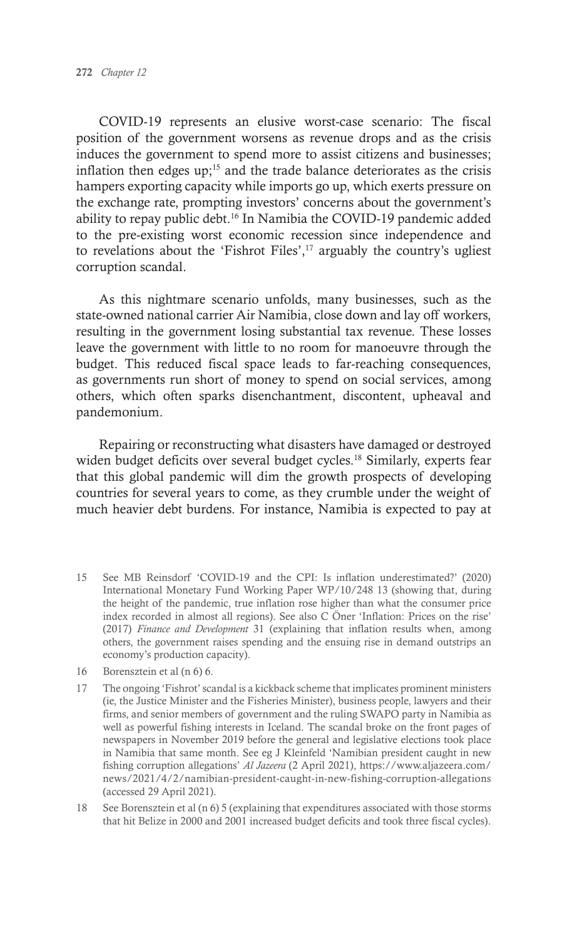COVID-19 represents an elusive worst-case scenario: The fiscal position of the government worsens as revenue drops and as the crisis induces the government to spend more to assist citizens and businesses; inflation then edges  $up$ <sup>15</sup> and the trade balance deteriorates as the crisis hampers exporting capacity while imports go up, which exerts pressure on the exchange rate, prompting investors' concerns about the government's ability to repay public debt.16 In Namibia the COVID-19 pandemic added to the pre-existing worst economic recession since independence and to revelations about the 'Fishrot Files', $17$  arguably the country's ugliest corruption scandal.

As this nightmare scenario unfolds, many businesses, such as the state-owned national carrier Air Namibia, close down and lay off workers, resulting in the government losing substantial tax revenue. These losses leave the government with little to no room for manoeuvre through the budget. This reduced fiscal space leads to far-reaching consequences, as governments run short of money to spend on social services, among others, which often sparks disenchantment, discontent, upheaval and pandemonium.

Repairing or reconstructing what disasters have damaged or destroyed widen budget deficits over several budget cycles.<sup>18</sup> Similarly, experts fear that this global pandemic will dim the growth prospects of developing countries for several years to come, as they crumble under the weight of much heavier debt burdens. For instance, Namibia is expected to pay at

- 15 See MB Reinsdorf 'COVID-19 and the CPI: Is inflation underestimated?' (2020) International Monetary Fund Working Paper WP/10/248 13 (showing that, during the height of the pandemic, true inflation rose higher than what the consumer price index recorded in almost all regions). See also C Öner 'Inflation: Prices on the rise' (2017) *Finance and Development* 31 (explaining that inflation results when, among others, the government raises spending and the ensuing rise in demand outstrips an economy's production capacity).
- 16 Borensztein et al (n 6) 6.
- 17 The ongoing 'Fishrot' scandal is a kickback scheme that implicates prominent ministers (ie, the Justice Minister and the Fisheries Minister), business people, lawyers and their firms, and senior members of government and the ruling SWAPO party in Namibia as well as powerful fishing interests in Iceland. The scandal broke on the front pages of newspapers in November 2019 before the general and legislative elections took place in Namibia that same month. See eg J Kleinfeld 'Namibian president caught in new fishing corruption allegations' *Al Jazeera* (2 April 2021), https://www.aljazeera.com/ news/2021/4/2/namibian-president-caught-in-new-fishing-corruption-allegations (accessed 29 April 2021).
- 18 See Borensztein et al (n 6) 5 (explaining that expenditures associated with those storms that hit Belize in 2000 and 2001 increased budget deficits and took three fiscal cycles).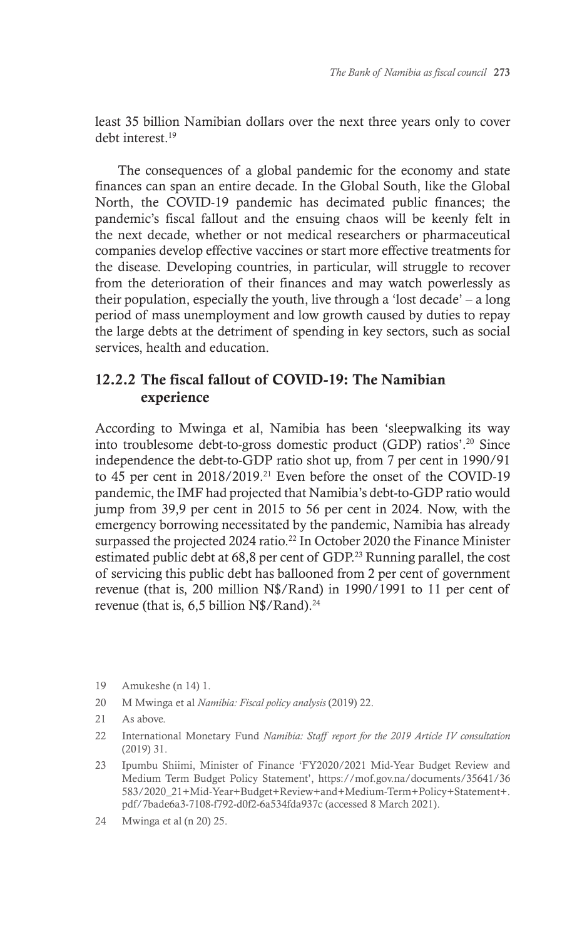least 35 billion Namibian dollars over the next three years only to cover debt interest.<sup>19</sup>

The consequences of a global pandemic for the economy and state finances can span an entire decade. In the Global South, like the Global North, the COVID-19 pandemic has decimated public finances; the pandemic's fiscal fallout and the ensuing chaos will be keenly felt in the next decade, whether or not medical researchers or pharmaceutical companies develop effective vaccines or start more effective treatments for the disease. Developing countries, in particular, will struggle to recover from the deterioration of their finances and may watch powerlessly as their population, especially the youth, live through a 'lost decade' – a long period of mass unemployment and low growth caused by duties to repay the large debts at the detriment of spending in key sectors, such as social services, health and education.

## 12.2.2 The fiscal fallout of COVID-19: The Namibian experience

According to Mwinga et al, Namibia has been 'sleepwalking its way into troublesome debt-to-gross domestic product (GDP) ratios'.20 Since independence the debt-to-GDP ratio shot up, from 7 per cent in 1990/91 to 45 per cent in 2018/2019.21 Even before the onset of the COVID-19 pandemic, the IMF had projected that Namibia's debt-to-GDP ratio would jump from 39,9 per cent in 2015 to 56 per cent in 2024. Now, with the emergency borrowing necessitated by the pandemic, Namibia has already surpassed the projected 2024 ratio.<sup>22</sup> In October 2020 the Finance Minister estimated public debt at 68,8 per cent of GDP.23 Running parallel, the cost of servicing this public debt has ballooned from 2 per cent of government revenue (that is, 200 million N\$/Rand) in 1990/1991 to 11 per cent of revenue (that is, 6,5 billion N\$/Rand).<sup>24</sup>

- 20 M Mwinga et al *Namibia: Fiscal policy analysis* (2019) 22.
- 21 As above.
- 22 International Monetary Fund *Namibia: Staff report for the 2019 Article IV consultation*  (2019) 31.
- 23 Ipumbu Shiimi, Minister of Finance 'FY2020/2021 Mid-Year Budget Review and Medium Term Budget Policy Statement', https://mof.gov.na/documents/35641/36 583/2020\_21+Mid-Year+Budget+Review+and+Medium-Term+Policy+Statement+. pdf/7bade6a3-7108-f792-d0f2-6a534fda937c (accessed 8 March 2021).
- 24 Mwinga et al (n 20) 25.

<sup>19</sup> Amukeshe (n 14) 1.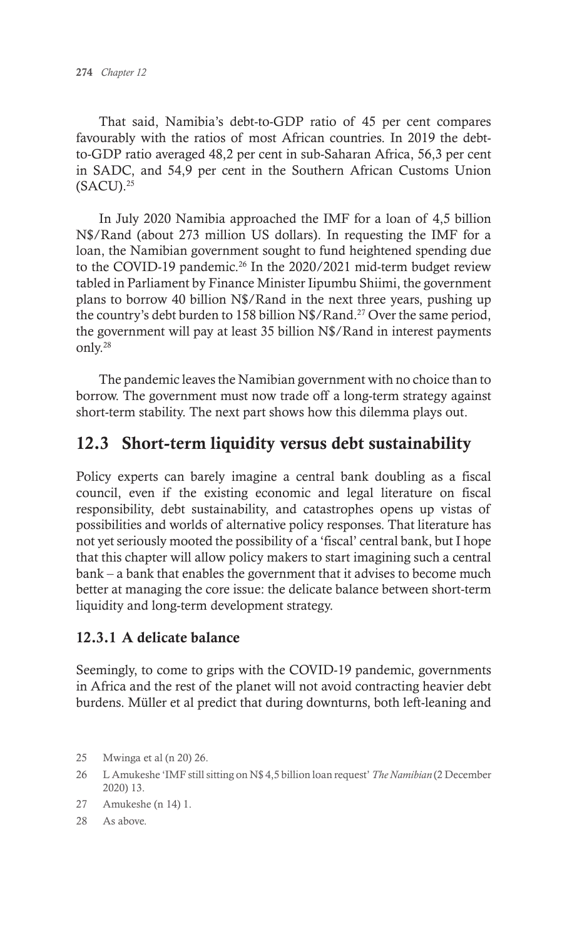That said, Namibia's debt-to-GDP ratio of 45 per cent compares favourably with the ratios of most African countries. In 2019 the debtto-GDP ratio averaged 48,2 per cent in sub-Saharan Africa, 56,3 per cent in SADC, and 54,9 per cent in the Southern African Customs Union  $(SACU).<sup>25</sup>$ 

In July 2020 Namibia approached the IMF for a loan of 4,5 billion N\$/Rand (about 273 million US dollars). In requesting the IMF for a loan, the Namibian government sought to fund heightened spending due to the COVID-19 pandemic.<sup>26</sup> In the 2020/2021 mid-term budget review tabled in Parliament by Finance Minister Iipumbu Shiimi, the government plans to borrow 40 billion N\$/Rand in the next three years, pushing up the country's debt burden to 158 billion N\$/Rand.27 Over the same period, the government will pay at least 35 billion N\$/Rand in interest payments only.28

The pandemic leaves the Namibian government with no choice than to borrow. The government must now trade off a long-term strategy against short-term stability. The next part shows how this dilemma plays out.

# 12.3 Short-term liquidity versus debt sustainability

Policy experts can barely imagine a central bank doubling as a fiscal council, even if the existing economic and legal literature on fiscal responsibility, debt sustainability, and catastrophes opens up vistas of possibilities and worlds of alternative policy responses. That literature has not yet seriously mooted the possibility of a 'fiscal' central bank, but I hope that this chapter will allow policy makers to start imagining such a central bank – a bank that enables the government that it advises to become much better at managing the core issue: the delicate balance between short-term liquidity and long-term development strategy.

## 12.3.1 A delicate balance

Seemingly, to come to grips with the COVID-19 pandemic, governments in Africa and the rest of the planet will not avoid contracting heavier debt burdens. Müller et al predict that during downturns, both left-leaning and

- 27 Amukeshe (n 14) 1.
- 28 As above.

<sup>25</sup> Mwinga et al (n 20) 26.

<sup>26</sup> L Amukeshe 'IMF still sitting on N\$ 4,5 billion loan request' *The Namibian* (2 December 2020) 13.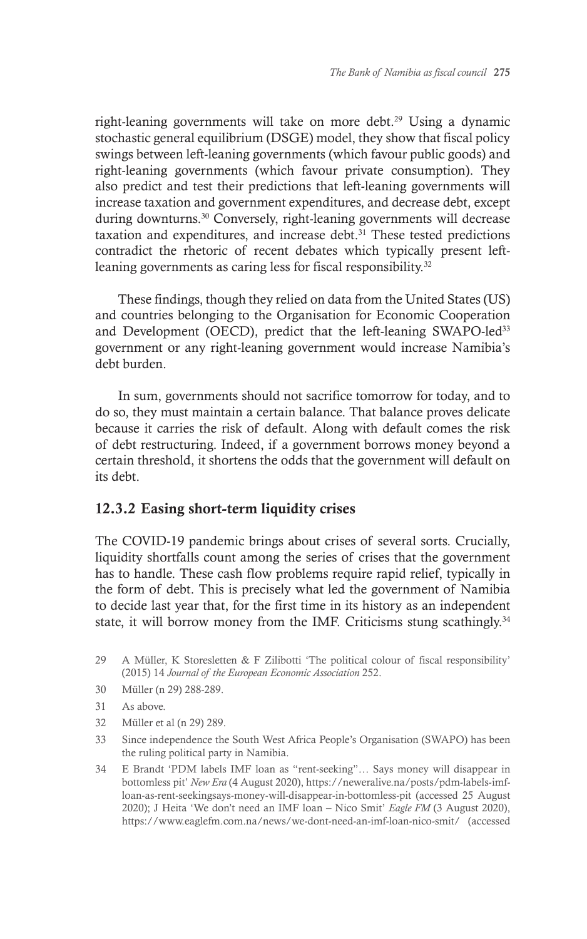right-leaning governments will take on more debt.<sup>29</sup> Using a dynamic stochastic general equilibrium (DSGE) model, they show that fiscal policy swings between left-leaning governments (which favour public goods) and right-leaning governments (which favour private consumption). They also predict and test their predictions that left-leaning governments will increase taxation and government expenditures, and decrease debt, except during downturns.30 Conversely, right-leaning governments will decrease taxation and expenditures, and increase debt.<sup>31</sup> These tested predictions contradict the rhetoric of recent debates which typically present leftleaning governments as caring less for fiscal responsibility.<sup>32</sup>

These findings, though they relied on data from the United States (US) and countries belonging to the Organisation for Economic Cooperation and Development (OECD), predict that the left-leaning SWAPO-led<sup>33</sup> government or any right-leaning government would increase Namibia's debt burden.

In sum, governments should not sacrifice tomorrow for today, and to do so, they must maintain a certain balance. That balance proves delicate because it carries the risk of default. Along with default comes the risk of debt restructuring. Indeed, if a government borrows money beyond a certain threshold, it shortens the odds that the government will default on its debt.

#### 12.3.2 Easing short-term liquidity crises

The COVID-19 pandemic brings about crises of several sorts. Crucially, liquidity shortfalls count among the series of crises that the government has to handle. These cash flow problems require rapid relief, typically in the form of debt. This is precisely what led the government of Namibia to decide last year that, for the first time in its history as an independent state, it will borrow money from the IMF. Criticisms stung scathingly.<sup>34</sup>

- 29 A Müller, K Storesletten & F Zilibotti 'The political colour of fiscal responsibility' (2015) 14 *Journal of the European Economic Association* 252.
- 30 Müller (n 29) 288-289.
- 31 As above.
- 32 Müller et al (n 29) 289.
- 33 Since independence the South West Africa People's Organisation (SWAPO) has been the ruling political party in Namibia.
- 34 E Brandt 'PDM labels IMF loan as "rent-seeking"… Says money will disappear in bottomless pit' *New Era* (4 August 2020), https://neweralive.na/posts/pdm-labels-imfloan-as-rent-seekingsays-money-will-disappear-in-bottomless-pit (accessed 25 August 2020); J Heita 'We don't need an IMF loan – Nico Smit' *Eagle FM* (3 August 2020), https://www.eaglefm.com.na/news/we-dont-need-an-imf-loan-nico-smit/ (accessed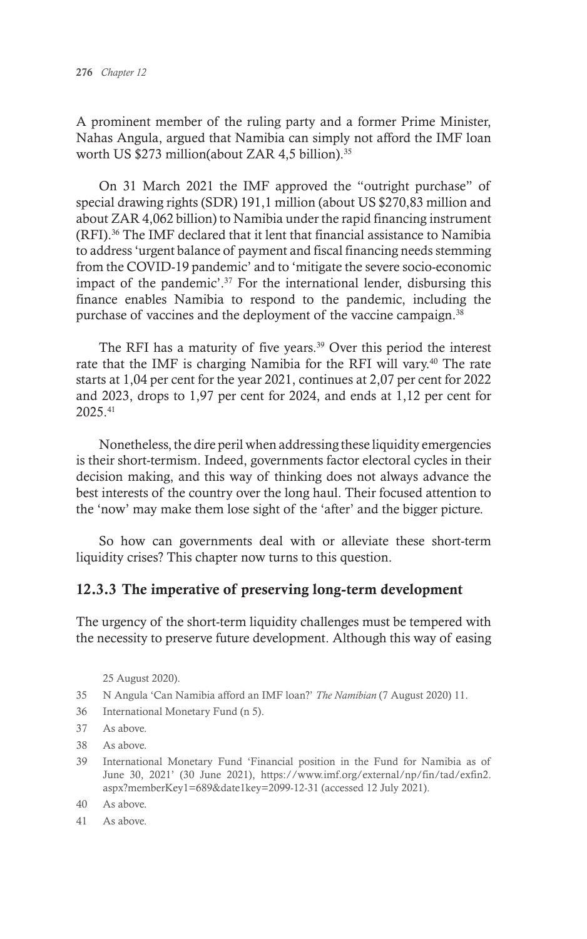A prominent member of the ruling party and a former Prime Minister, Nahas Angula, argued that Namibia can simply not afford the IMF loan worth US \$273 million(about ZAR 4,5 billion).<sup>35</sup>

On 31 March 2021 the IMF approved the "outright purchase" of special drawing rights (SDR) 191,1 million (about US \$270,83 million and about ZAR 4,062 billion) to Namibia under the rapid financing instrument (RFI).36 The IMF declared that it lent that financial assistance to Namibia to address 'urgent balance of payment and fiscal financing needs stemming from the COVID-19 pandemic' and to 'mitigate the severe socio-economic impact of the pandemic'.37 For the international lender, disbursing this finance enables Namibia to respond to the pandemic, including the purchase of vaccines and the deployment of the vaccine campaign.<sup>38</sup>

The RFI has a maturity of five years.<sup>39</sup> Over this period the interest rate that the IMF is charging Namibia for the RFI will vary.<sup>40</sup> The rate starts at 1,04 per cent for the year 2021, continues at 2,07 per cent for 2022 and 2023, drops to 1,97 per cent for 2024, and ends at 1,12 per cent for 2025.41

Nonetheless, the dire peril when addressing these liquidity emergencies is their short-termism. Indeed, governments factor electoral cycles in their decision making, and this way of thinking does not always advance the best interests of the country over the long haul. Their focused attention to the 'now' may make them lose sight of the 'after' and the bigger picture.

So how can governments deal with or alleviate these short-term liquidity crises? This chapter now turns to this question.

#### 12.3.3 The imperative of preserving long-term development

The urgency of the short-term liquidity challenges must be tempered with the necessity to preserve future development. Although this way of easing

25 August 2020).

- 35 N Angula 'Can Namibia afford an IMF loan?' *The Namibian* (7 August 2020) 11.
- 36 International Monetary Fund (n 5).
- 37 As above.
- 38 As above.
- 39 International Monetary Fund 'Financial position in the Fund for Namibia as of June 30, 2021' (30 June 2021), https://www.imf.org/external/np/fin/tad/exfin2. aspx?memberKey1=689&date1key=2099-12-31 (accessed 12 July 2021).
- 40 As above.
- 41 As above.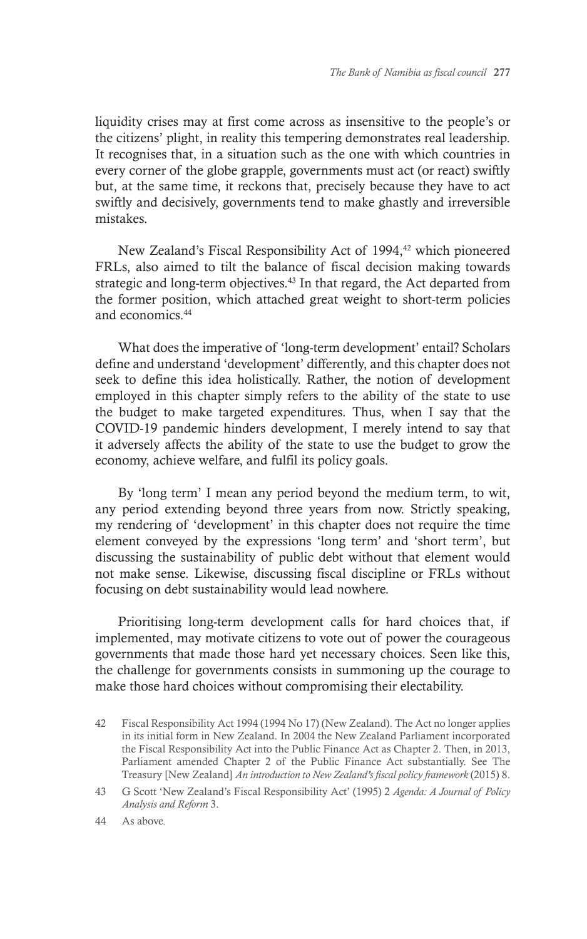liquidity crises may at first come across as insensitive to the people's or the citizens' plight, in reality this tempering demonstrates real leadership. It recognises that, in a situation such as the one with which countries in every corner of the globe grapple, governments must act (or react) swiftly but, at the same time, it reckons that, precisely because they have to act swiftly and decisively, governments tend to make ghastly and irreversible mistakes.

New Zealand's Fiscal Responsibility Act of 1994,<sup>42</sup> which pioneered FRLs, also aimed to tilt the balance of fiscal decision making towards strategic and long-term objectives.<sup>43</sup> In that regard, the Act departed from the former position, which attached great weight to short-term policies and economics.44

What does the imperative of 'long-term development' entail? Scholars define and understand 'development' differently, and this chapter does not seek to define this idea holistically. Rather, the notion of development employed in this chapter simply refers to the ability of the state to use the budget to make targeted expenditures. Thus, when I say that the COVID-19 pandemic hinders development, I merely intend to say that it adversely affects the ability of the state to use the budget to grow the economy, achieve welfare, and fulfil its policy goals.

By 'long term' I mean any period beyond the medium term, to wit, any period extending beyond three years from now. Strictly speaking, my rendering of 'development' in this chapter does not require the time element conveyed by the expressions 'long term' and 'short term', but discussing the sustainability of public debt without that element would not make sense. Likewise, discussing fiscal discipline or FRLs without focusing on debt sustainability would lead nowhere.

Prioritising long-term development calls for hard choices that, if implemented, may motivate citizens to vote out of power the courageous governments that made those hard yet necessary choices. Seen like this, the challenge for governments consists in summoning up the courage to make those hard choices without compromising their electability.

<sup>42</sup> Fiscal Responsibility Act 1994 (1994 No 17) (New Zealand). The Act no longer applies in its initial form in New Zealand. In 2004 the New Zealand Parliament incorporated the Fiscal Responsibility Act into the Public Finance Act as Chapter 2. Then, in 2013, Parliament amended Chapter 2 of the Public Finance Act substantially. See The Treasury [New Zealand] *An introduction to New Zealand's fiscal policy framework* (2015) 8.

<sup>43</sup> G Scott 'New Zealand's Fiscal Responsibility Act' (1995) 2 *Agenda: A Journal of Policy Analysis and Reform* 3.

<sup>44</sup> As above.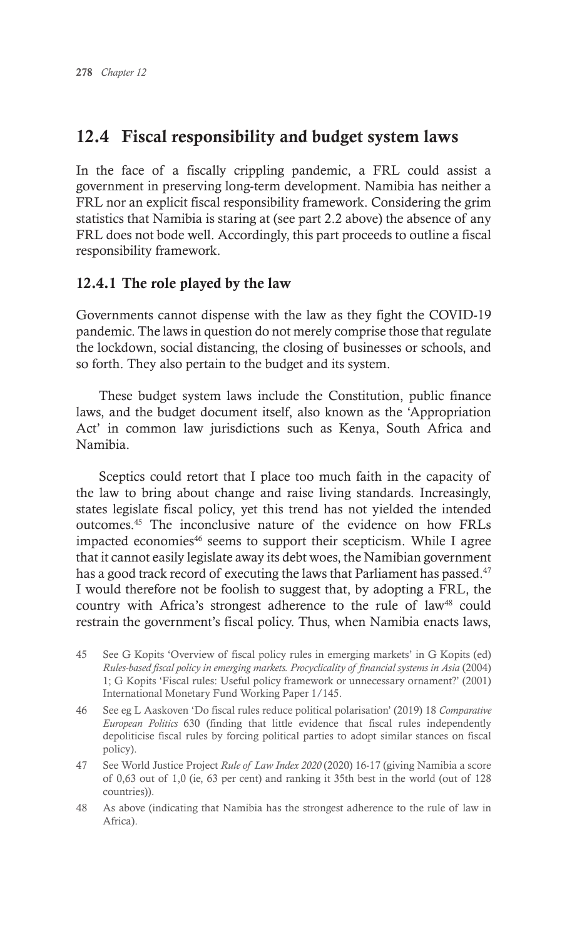# 12.4 Fiscal responsibility and budget system laws

In the face of a fiscally crippling pandemic, a FRL could assist a government in preserving long-term development. Namibia has neither a FRL nor an explicit fiscal responsibility framework. Considering the grim statistics that Namibia is staring at (see part 2.2 above) the absence of any FRL does not bode well. Accordingly, this part proceeds to outline a fiscal responsibility framework.

# 12.4.1 The role played by the law

Governments cannot dispense with the law as they fight the COVID-19 pandemic. The laws in question do not merely comprise those that regulate the lockdown, social distancing, the closing of businesses or schools, and so forth. They also pertain to the budget and its system.

These budget system laws include the Constitution, public finance laws, and the budget document itself, also known as the 'Appropriation Act' in common law jurisdictions such as Kenya, South Africa and Namibia.

Sceptics could retort that I place too much faith in the capacity of the law to bring about change and raise living standards. Increasingly, states legislate fiscal policy, yet this trend has not yielded the intended outcomes.45 The inconclusive nature of the evidence on how FRLs impacted economies<sup>46</sup> seems to support their scepticism. While I agree that it cannot easily legislate away its debt woes, the Namibian government has a good track record of executing the laws that Parliament has passed.<sup>47</sup> I would therefore not be foolish to suggest that, by adopting a FRL, the country with Africa's strongest adherence to the rule of law<sup>48</sup> could restrain the government's fiscal policy. Thus, when Namibia enacts laws,

- 45 See G Kopits 'Overview of fiscal policy rules in emerging markets' in G Kopits (ed) *Rules-based fiscal policy in emerging markets. Procyclicality of financial systems in Asia* (2004) 1; G Kopits 'Fiscal rules: Useful policy framework or unnecessary ornament?' (2001) International Monetary Fund Working Paper 1/145.
- 46 See eg L Aaskoven 'Do fiscal rules reduce political polarisation' (2019) 18 *Comparative European Politics* 630 (finding that little evidence that fiscal rules independently depoliticise fiscal rules by forcing political parties to adopt similar stances on fiscal policy).
- 47 See World Justice Project *Rule of Law Index 2020* (2020) 16-17 (giving Namibia a score of 0,63 out of 1,0 (ie, 63 per cent) and ranking it 35th best in the world (out of 128 countries)).
- 48 As above (indicating that Namibia has the strongest adherence to the rule of law in Africa).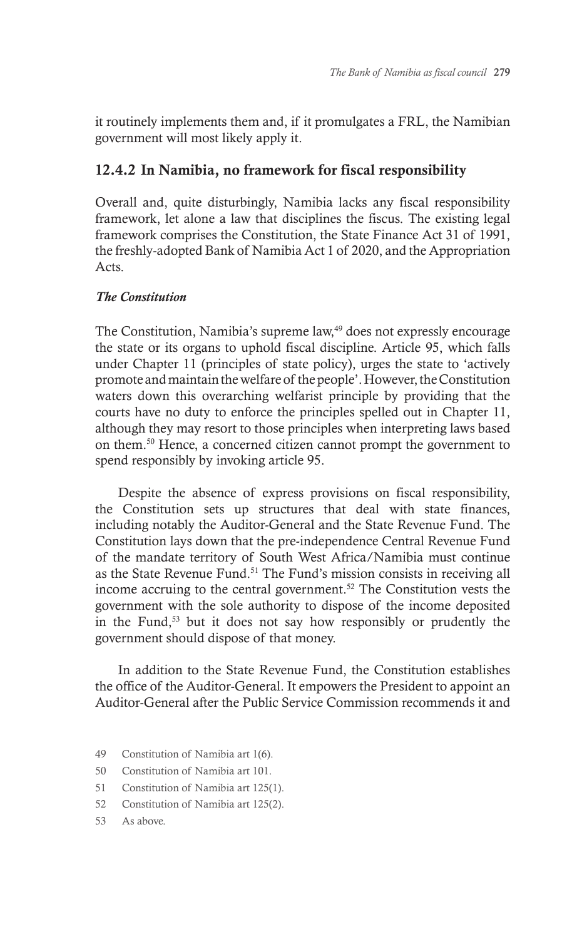it routinely implements them and, if it promulgates a FRL, the Namibian government will most likely apply it.

# 12.4.2 In Namibia, no framework for fiscal responsibility

Overall and, quite disturbingly, Namibia lacks any fiscal responsibility framework, let alone a law that disciplines the fiscus. The existing legal framework comprises the Constitution, the State Finance Act 31 of 1991, the freshly-adopted Bank of Namibia Act 1 of 2020, and the Appropriation Acts.

## *The Constitution*

The Constitution, Namibia's supreme law,<sup>49</sup> does not expressly encourage the state or its organs to uphold fiscal discipline. Article 95, which falls under Chapter 11 (principles of state policy), urges the state to 'actively promote and maintain the welfare of the people'. However, the Constitution waters down this overarching welfarist principle by providing that the courts have no duty to enforce the principles spelled out in Chapter 11, although they may resort to those principles when interpreting laws based on them.50 Hence, a concerned citizen cannot prompt the government to spend responsibly by invoking article 95.

Despite the absence of express provisions on fiscal responsibility, the Constitution sets up structures that deal with state finances, including notably the Auditor-General and the State Revenue Fund. The Constitution lays down that the pre-independence Central Revenue Fund of the mandate territory of South West Africa/Namibia must continue as the State Revenue Fund.<sup>51</sup> The Fund's mission consists in receiving all income accruing to the central government.52 The Constitution vests the government with the sole authority to dispose of the income deposited in the Fund,53 but it does not say how responsibly or prudently the government should dispose of that money.

In addition to the State Revenue Fund, the Constitution establishes the office of the Auditor-General. It empowers the President to appoint an Auditor-General after the Public Service Commission recommends it and

- 49 Constitution of Namibia art 1(6).
- 50 Constitution of Namibia art 101.
- 51 Constitution of Namibia art 125(1).
- 52 Constitution of Namibia art 125(2).
- 53 As above.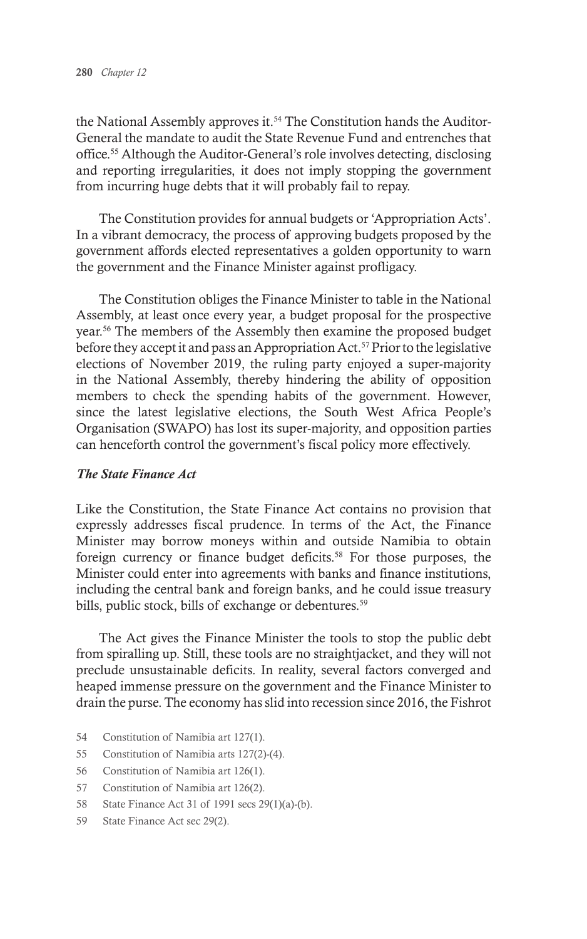the National Assembly approves it.<sup>54</sup> The Constitution hands the Auditor-General the mandate to audit the State Revenue Fund and entrenches that office.55 Although the Auditor-General's role involves detecting, disclosing and reporting irregularities, it does not imply stopping the government from incurring huge debts that it will probably fail to repay.

The Constitution provides for annual budgets or 'Appropriation Acts'. In a vibrant democracy, the process of approving budgets proposed by the government affords elected representatives a golden opportunity to warn the government and the Finance Minister against profligacy.

The Constitution obliges the Finance Minister to table in the National Assembly, at least once every year, a budget proposal for the prospective year.56 The members of the Assembly then examine the proposed budget before they accept it and pass an Appropriation Act.<sup>57</sup> Prior to the legislative elections of November 2019, the ruling party enjoyed a super-majority in the National Assembly, thereby hindering the ability of opposition members to check the spending habits of the government. However, since the latest legislative elections, the South West Africa People's Organisation (SWAPO) has lost its super-majority, and opposition parties can henceforth control the government's fiscal policy more effectively.

#### *The State Finance Act*

Like the Constitution, the State Finance Act contains no provision that expressly addresses fiscal prudence. In terms of the Act, the Finance Minister may borrow moneys within and outside Namibia to obtain foreign currency or finance budget deficits.<sup>58</sup> For those purposes, the Minister could enter into agreements with banks and finance institutions, including the central bank and foreign banks, and he could issue treasury bills, public stock, bills of exchange or debentures.<sup>59</sup>

The Act gives the Finance Minister the tools to stop the public debt from spiralling up. Still, these tools are no straightjacket, and they will not preclude unsustainable deficits. In reality, several factors converged and heaped immense pressure on the government and the Finance Minister to drain the purse. The economy has slid into recession since 2016, the Fishrot

- 54 Constitution of Namibia art 127(1).
- 55 Constitution of Namibia arts 127(2)-(4).
- 56 Constitution of Namibia art 126(1).
- 57 Constitution of Namibia art 126(2).
- 58 State Finance Act 31 of 1991 secs 29(1)(a)-(b).
- 59 State Finance Act sec 29(2).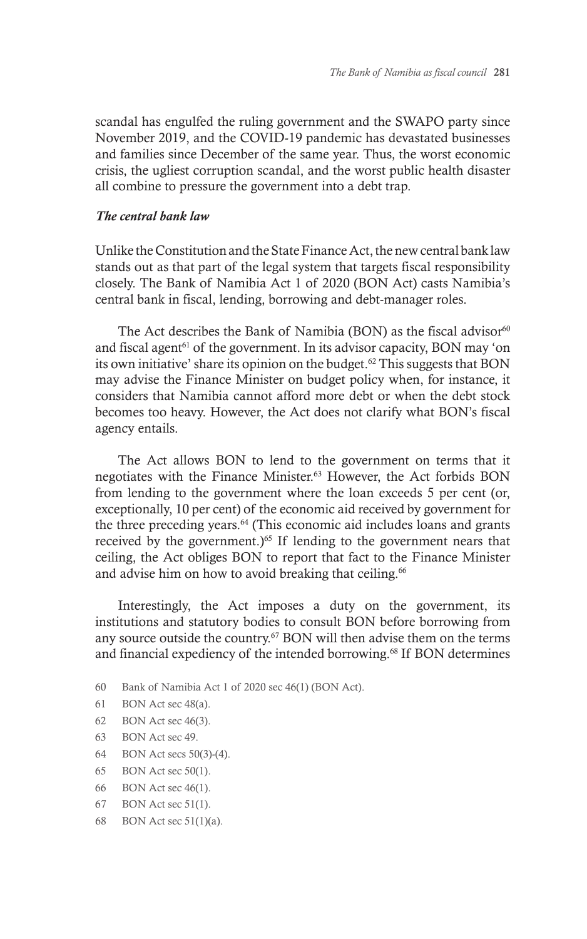scandal has engulfed the ruling government and the SWAPO party since November 2019, and the COVID-19 pandemic has devastated businesses and families since December of the same year. Thus, the worst economic crisis, the ugliest corruption scandal, and the worst public health disaster all combine to pressure the government into a debt trap.

#### *The central bank law*

Unlike the Constitution and the State Finance Act, the new central bank law stands out as that part of the legal system that targets fiscal responsibility closely. The Bank of Namibia Act 1 of 2020 (BON Act) casts Namibia's central bank in fiscal, lending, borrowing and debt-manager roles.

The Act describes the Bank of Namibia (BON) as the fiscal advisor<sup>60</sup> and fiscal agent<sup>61</sup> of the government. In its advisor capacity, BON may 'on its own initiative' share its opinion on the budget.<sup>62</sup> This suggests that BON may advise the Finance Minister on budget policy when, for instance, it considers that Namibia cannot afford more debt or when the debt stock becomes too heavy. However, the Act does not clarify what BON's fiscal agency entails.

The Act allows BON to lend to the government on terms that it negotiates with the Finance Minister.63 However, the Act forbids BON from lending to the government where the loan exceeds 5 per cent (or, exceptionally, 10 per cent) of the economic aid received by government for the three preceding years.<sup>64</sup> (This economic aid includes loans and grants received by the government.)<sup>65</sup> If lending to the government nears that ceiling, the Act obliges BON to report that fact to the Finance Minister and advise him on how to avoid breaking that ceiling.<sup>66</sup>

Interestingly, the Act imposes a duty on the government, its institutions and statutory bodies to consult BON before borrowing from any source outside the country.<sup>67</sup> BON will then advise them on the terms and financial expediency of the intended borrowing.<sup>68</sup> If BON determines

- 60 Bank of Namibia Act 1 of 2020 sec 46(1) (BON Act).
- 61 BON Act sec 48(a).
- 62 BON Act sec 46(3).
- 63 BON Act sec 49.
- 64 BON Act secs 50(3)-(4).
- 65 BON Act sec 50(1).
- 66 BON Act sec 46(1).
- 67 BON Act sec 51(1).
- 68 BON Act sec 51(1)(a).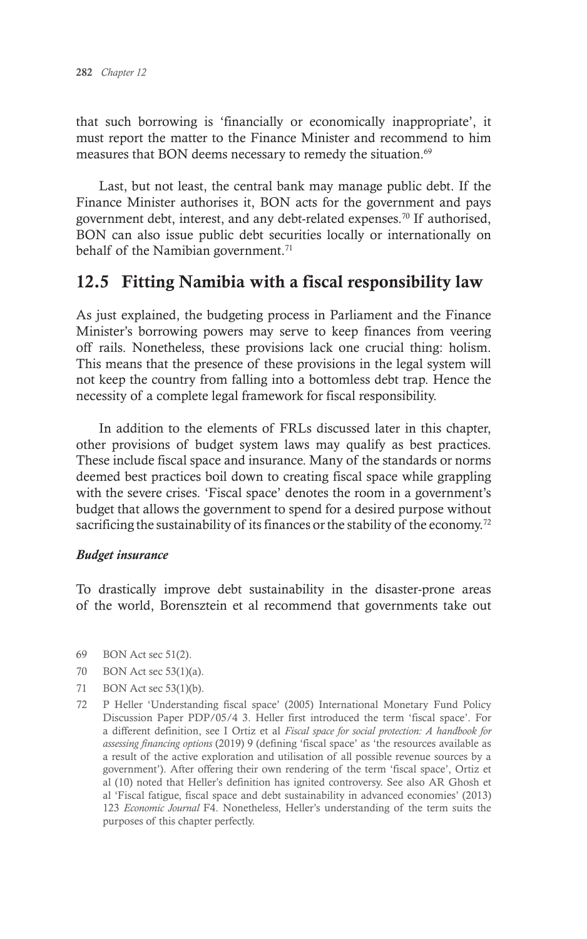that such borrowing is 'financially or economically inappropriate', it must report the matter to the Finance Minister and recommend to him measures that BON deems necessary to remedy the situation.<sup>69</sup>

Last, but not least, the central bank may manage public debt. If the Finance Minister authorises it, BON acts for the government and pays government debt, interest, and any debt-related expenses.70 If authorised, BON can also issue public debt securities locally or internationally on behalf of the Namibian government.<sup>71</sup>

# 12.5 Fitting Namibia with a fiscal responsibility law

As just explained, the budgeting process in Parliament and the Finance Minister's borrowing powers may serve to keep finances from veering off rails. Nonetheless, these provisions lack one crucial thing: holism. This means that the presence of these provisions in the legal system will not keep the country from falling into a bottomless debt trap. Hence the necessity of a complete legal framework for fiscal responsibility.

In addition to the elements of FRLs discussed later in this chapter, other provisions of budget system laws may qualify as best practices. These include fiscal space and insurance. Many of the standards or norms deemed best practices boil down to creating fiscal space while grappling with the severe crises. 'Fiscal space' denotes the room in a government's budget that allows the government to spend for a desired purpose without sacrificing the sustainability of its finances or the stability of the economy.<sup>72</sup>

#### *Budget insurance*

To drastically improve debt sustainability in the disaster-prone areas of the world, Borensztein et al recommend that governments take out

- 69 BON Act sec 51(2).
- 70 BON Act sec 53(1)(a).
- 71 BON Act sec 53(1)(b).
- 72 P Heller 'Understanding fiscal space' (2005) International Monetary Fund Policy Discussion Paper PDP/05/4 3. Heller first introduced the term 'fiscal space'. For a different definition, see I Ortiz et al *Fiscal space for social protection: A handbook for assessing financing options* (2019) 9 (defining 'fiscal space' as 'the resources available as a result of the active exploration and utilisation of all possible revenue sources by a government'). After offering their own rendering of the term 'fiscal space', Ortiz et al (10) noted that Heller's definition has ignited controversy. See also AR Ghosh et al 'Fiscal fatigue, fiscal space and debt sustainability in advanced economies' (2013) 123 *Economic Journal* F4. Nonetheless, Heller's understanding of the term suits the purposes of this chapter perfectly.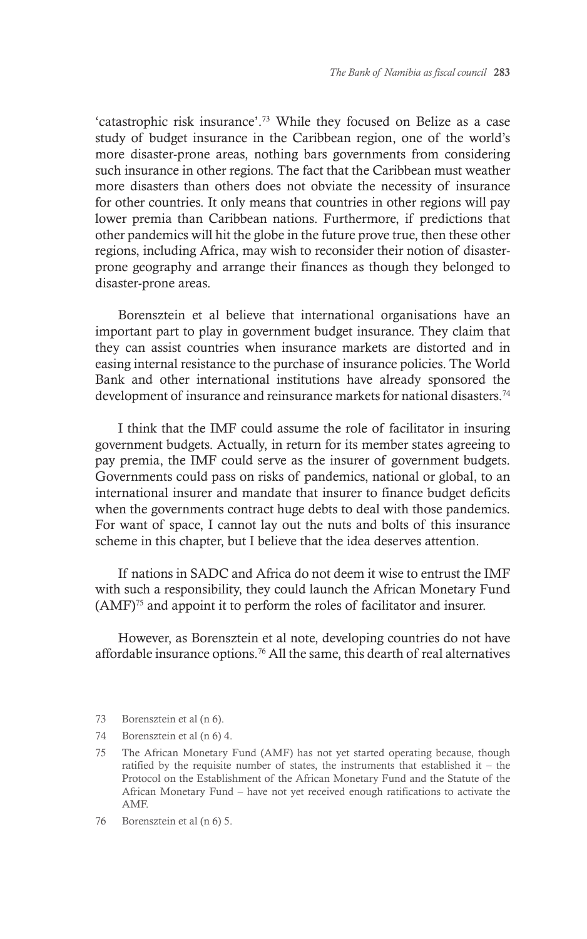'catastrophic risk insurance'.73 While they focused on Belize as a case study of budget insurance in the Caribbean region, one of the world's more disaster-prone areas, nothing bars governments from considering such insurance in other regions. The fact that the Caribbean must weather more disasters than others does not obviate the necessity of insurance for other countries. It only means that countries in other regions will pay lower premia than Caribbean nations. Furthermore, if predictions that other pandemics will hit the globe in the future prove true, then these other regions, including Africa, may wish to reconsider their notion of disasterprone geography and arrange their finances as though they belonged to disaster-prone areas.

Borensztein et al believe that international organisations have an important part to play in government budget insurance. They claim that they can assist countries when insurance markets are distorted and in easing internal resistance to the purchase of insurance policies. The World Bank and other international institutions have already sponsored the development of insurance and reinsurance markets for national disasters.<sup>74</sup>

I think that the IMF could assume the role of facilitator in insuring government budgets. Actually, in return for its member states agreeing to pay premia, the IMF could serve as the insurer of government budgets. Governments could pass on risks of pandemics, national or global, to an international insurer and mandate that insurer to finance budget deficits when the governments contract huge debts to deal with those pandemics. For want of space, I cannot lay out the nuts and bolts of this insurance scheme in this chapter, but I believe that the idea deserves attention.

If nations in SADC and Africa do not deem it wise to entrust the IMF with such a responsibility, they could launch the African Monetary Fund (AMF)75 and appoint it to perform the roles of facilitator and insurer.

However, as Borensztein et al note, developing countries do not have affordable insurance options.76 All the same, this dearth of real alternatives

- 73 Borensztein et al (n 6).
- 74 Borensztein et al (n 6) 4.
- 75 The African Monetary Fund (AMF) has not yet started operating because, though ratified by the requisite number of states, the instruments that established it – the Protocol on the Establishment of the African Monetary Fund and the Statute of the African Monetary Fund – have not yet received enough ratifications to activate the AMF.
- 76 Borensztein et al (n 6) 5.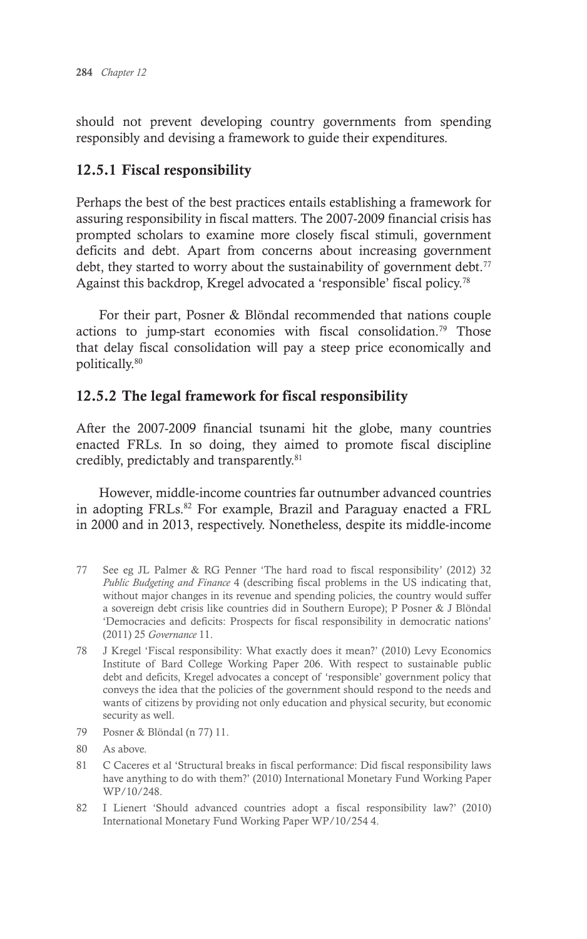should not prevent developing country governments from spending responsibly and devising a framework to guide their expenditures.

## 12.5.1 Fiscal responsibility

Perhaps the best of the best practices entails establishing a framework for assuring responsibility in fiscal matters. The 2007-2009 financial crisis has prompted scholars to examine more closely fiscal stimuli, government deficits and debt. Apart from concerns about increasing government debt, they started to worry about the sustainability of government debt.<sup>77</sup> Against this backdrop, Kregel advocated a 'responsible' fiscal policy.<sup>78</sup>

For their part, Posner & Blöndal recommended that nations couple actions to jump-start economies with fiscal consolidation.<sup>79</sup> Those that delay fiscal consolidation will pay a steep price economically and politically.80

## 12.5.2 The legal framework for fiscal responsibility

After the 2007-2009 financial tsunami hit the globe, many countries enacted FRLs. In so doing, they aimed to promote fiscal discipline credibly, predictably and transparently.81

However, middle-income countries far outnumber advanced countries in adopting FRLs.<sup>82</sup> For example, Brazil and Paraguay enacted a FRL in 2000 and in 2013, respectively. Nonetheless, despite its middle-income

- 77 See eg JL Palmer & RG Penner 'The hard road to fiscal responsibility' (2012) 32 *Public Budgeting and Finance* 4 (describing fiscal problems in the US indicating that, without major changes in its revenue and spending policies, the country would suffer a sovereign debt crisis like countries did in Southern Europe); P Posner & J Blöndal 'Democracies and deficits: Prospects for fiscal responsibility in democratic nations' (2011) 25 *Governance* 11.
- 78 J Kregel 'Fiscal responsibility: What exactly does it mean?' (2010) Levy Economics Institute of Bard College Working Paper 206. With respect to sustainable public debt and deficits, Kregel advocates a concept of 'responsible' government policy that conveys the idea that the policies of the government should respond to the needs and wants of citizens by providing not only education and physical security, but economic security as well.
- 79 Posner & Blöndal (n 77) 11.
- 80 As above.
- 81 C Caceres et al 'Structural breaks in fiscal performance: Did fiscal responsibility laws have anything to do with them?' (2010) International Monetary Fund Working Paper WP/10/248.
- 82 I Lienert 'Should advanced countries adopt a fiscal responsibility law?' (2010) International Monetary Fund Working Paper WP/10/254 4.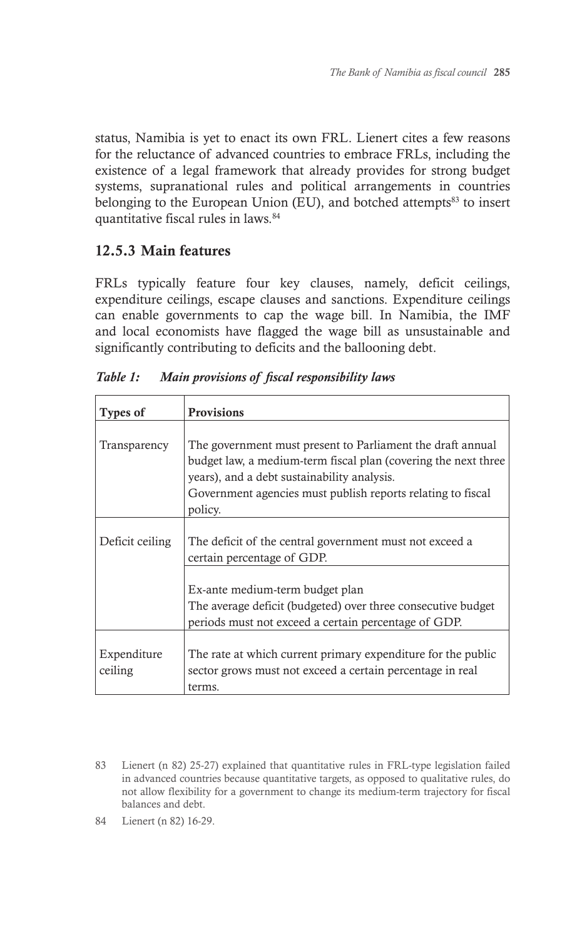status, Namibia is yet to enact its own FRL. Lienert cites a few reasons for the reluctance of advanced countries to embrace FRLs, including the existence of a legal framework that already provides for strong budget systems, supranational rules and political arrangements in countries belonging to the European Union (EU), and botched attempts $83$  to insert quantitative fiscal rules in laws.<sup>84</sup>

# 12.5.3 Main features

FRLs typically feature four key clauses, namely, deficit ceilings, expenditure ceilings, escape clauses and sanctions. Expenditure ceilings can enable governments to cap the wage bill. In Namibia, the IMF and local economists have flagged the wage bill as unsustainable and significantly contributing to deficits and the ballooning debt.

| <b>Types of</b>        | <b>Provisions</b>                                                                                                                                                                                                                                     |
|------------------------|-------------------------------------------------------------------------------------------------------------------------------------------------------------------------------------------------------------------------------------------------------|
| Transparency           | The government must present to Parliament the draft annual<br>budget law, a medium-term fiscal plan (covering the next three<br>years), and a debt sustainability analysis.<br>Government agencies must publish reports relating to fiscal<br>policy. |
| Deficit ceiling        | The deficit of the central government must not exceed a<br>certain percentage of GDP.                                                                                                                                                                 |
|                        | Ex-ante medium-term budget plan<br>The average deficit (budgeted) over three consecutive budget<br>periods must not exceed a certain percentage of GDP.                                                                                               |
| Expenditure<br>ceiling | The rate at which current primary expenditure for the public<br>sector grows must not exceed a certain percentage in real<br>terms.                                                                                                                   |

*Table 1: Main provisions of fiscal responsibility laws*

<sup>83</sup> Lienert (n 82) 25-27) explained that quantitative rules in FRL-type legislation failed in advanced countries because quantitative targets, as opposed to qualitative rules, do not allow flexibility for a government to change its medium-term trajectory for fiscal balances and debt.

<sup>84</sup> Lienert (n 82) 16-29.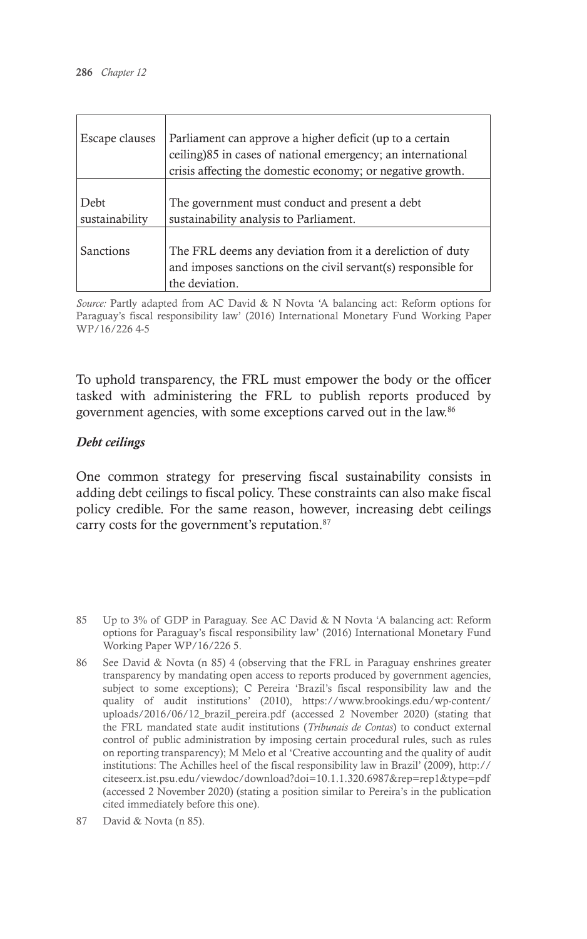| Escape clauses         | Parliament can approve a higher deficit (up to a certain<br>ceiling) 85 in cases of national emergency; an international<br>crisis affecting the domestic economy; or negative growth. |
|------------------------|----------------------------------------------------------------------------------------------------------------------------------------------------------------------------------------|
| Debt<br>sustainability | The government must conduct and present a debt<br>sustainability analysis to Parliament.                                                                                               |
| Sanctions              | The FRL deems any deviation from it a dereliction of duty<br>and imposes sanctions on the civil servant(s) responsible for<br>the deviation.                                           |

*Source:* Partly adapted from AC David & N Novta 'A balancing act: Reform options for Paraguay's fiscal responsibility law' (2016) International Monetary Fund Working Paper WP/16/226 4-5

To uphold transparency, the FRL must empower the body or the officer tasked with administering the FRL to publish reports produced by government agencies, with some exceptions carved out in the law.86

#### *Debt ceilings*

One common strategy for preserving fiscal sustainability consists in adding debt ceilings to fiscal policy. These constraints can also make fiscal policy credible. For the same reason, however, increasing debt ceilings carry costs for the government's reputation.87

85 Up to 3% of GDP in Paraguay. See AC David & N Novta 'A balancing act: Reform options for Paraguay's fiscal responsibility law' (2016) International Monetary Fund Working Paper WP/16/226 5.

- 86 See David & Novta (n 85) 4 (observing that the FRL in Paraguay enshrines greater transparency by mandating open access to reports produced by government agencies, subject to some exceptions); C Pereira 'Brazil's fiscal responsibility law and the quality of audit institutions' (2010), https://www.brookings.edu/wp-content/ uploads/2016/06/12\_brazil\_pereira.pdf (accessed 2 November 2020) (stating that the FRL mandated state audit institutions (*Tribunais de Contas*) to conduct external control of public administration by imposing certain procedural rules, such as rules on reporting transparency); M Melo et al 'Creative accounting and the quality of audit institutions: The Achilles heel of the fiscal responsibility law in Brazil' (2009), http:// citeseerx.ist.psu.edu/viewdoc/download?doi=10.1.1.320.6987&rep=rep1&type=pdf (accessed 2 November 2020) (stating a position similar to Pereira's in the publication cited immediately before this one).
- 87 David & Novta (n 85).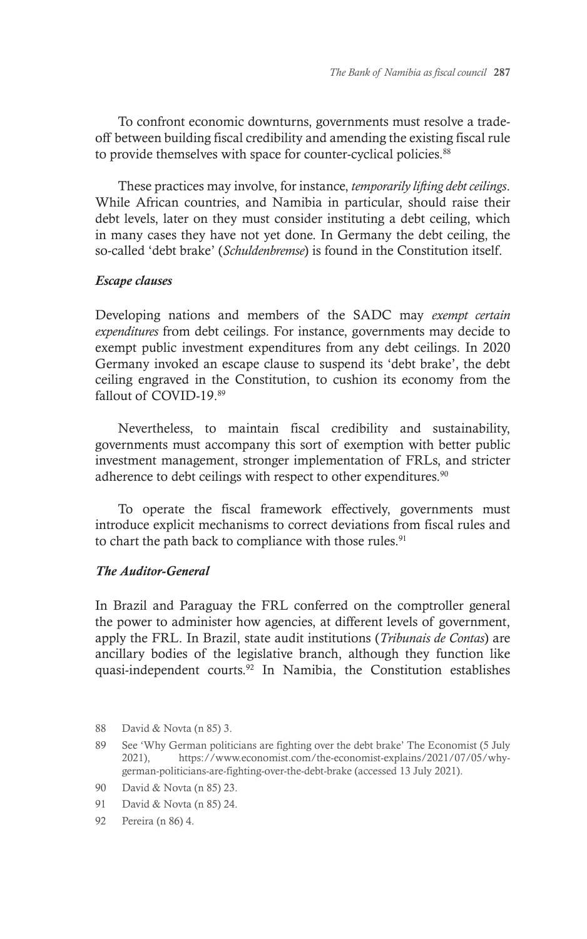To confront economic downturns, governments must resolve a tradeoff between building fiscal credibility and amending the existing fiscal rule to provide themselves with space for counter-cyclical policies.<sup>88</sup>

These practices may involve, for instance, *temporarily lifting debt ceilings*. While African countries, and Namibia in particular, should raise their debt levels, later on they must consider instituting a debt ceiling, which in many cases they have not yet done. In Germany the debt ceiling, the so-called 'debt brake' (*Schuldenbremse*) is found in the Constitution itself.

#### *Escape clauses*

Developing nations and members of the SADC may *exempt certain expenditures* from debt ceilings. For instance, governments may decide to exempt public investment expenditures from any debt ceilings. In 2020 Germany invoked an escape clause to suspend its 'debt brake', the debt ceiling engraved in the Constitution, to cushion its economy from the fallout of COVID-19.89

Nevertheless, to maintain fiscal credibility and sustainability, governments must accompany this sort of exemption with better public investment management, stronger implementation of FRLs, and stricter adherence to debt ceilings with respect to other expenditures.<sup>90</sup>

To operate the fiscal framework effectively, governments must introduce explicit mechanisms to correct deviations from fiscal rules and to chart the path back to compliance with those rules.<sup>91</sup>

#### *The Auditor-General*

In Brazil and Paraguay the FRL conferred on the comptroller general the power to administer how agencies, at different levels of government, apply the FRL. In Brazil, state audit institutions (*Tribunais de Contas*) are ancillary bodies of the legislative branch, although they function like quasi-independent courts.92 In Namibia, the Constitution establishes

<sup>88</sup> David & Novta (n 85) 3.

<sup>89</sup> See 'Why German politicians are fighting over the debt brake' The Economist (5 July 2021), https://www.economist.com/the-economist-explains/2021/07/05/whygerman-politicians-are-fighting-over-the-debt-brake (accessed 13 July 2021).

<sup>90</sup> David & Novta (n 85) 23.

<sup>91</sup> David & Novta (n 85) 24.

<sup>92</sup> Pereira (n 86) 4.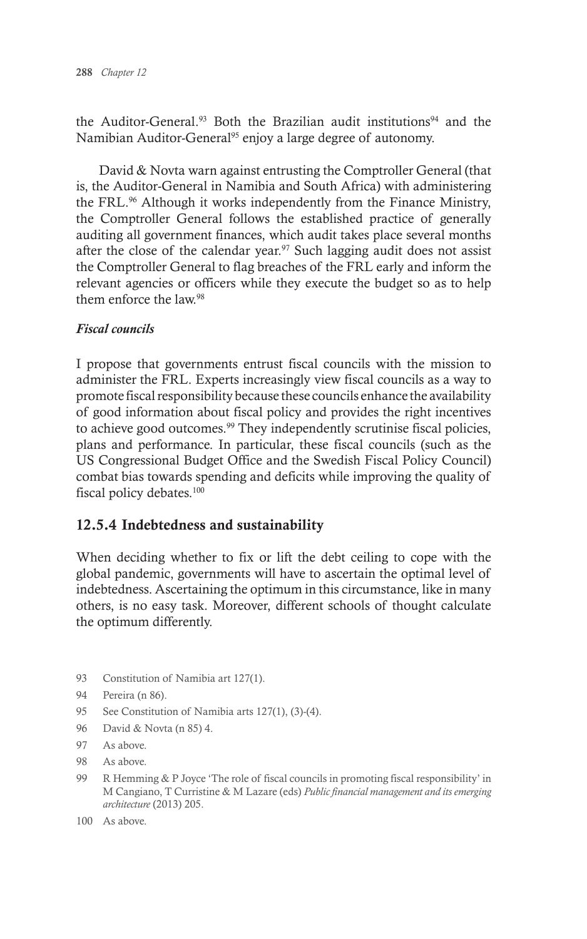the Auditor-General.<sup>93</sup> Both the Brazilian audit institutions<sup>94</sup> and the Namibian Auditor-General<sup>95</sup> enjoy a large degree of autonomy.

David & Novta warn against entrusting the Comptroller General (that is, the Auditor-General in Namibia and South Africa) with administering the FRL.96 Although it works independently from the Finance Ministry, the Comptroller General follows the established practice of generally auditing all government finances, which audit takes place several months after the close of the calendar year.<sup>97</sup> Such lagging audit does not assist the Comptroller General to flag breaches of the FRL early and inform the relevant agencies or officers while they execute the budget so as to help them enforce the law<sup>98</sup>

#### *Fiscal councils*

I propose that governments entrust fiscal councils with the mission to administer the FRL. Experts increasingly view fiscal councils as a way to promote fiscal responsibility because these councils enhance the availability of good information about fiscal policy and provides the right incentives to achieve good outcomes.<sup>99</sup> They independently scrutinise fiscal policies, plans and performance. In particular, these fiscal councils (such as the US Congressional Budget Office and the Swedish Fiscal Policy Council) combat bias towards spending and deficits while improving the quality of fiscal policy debates.<sup>100</sup>

## 12.5.4 Indebtedness and sustainability

When deciding whether to fix or lift the debt ceiling to cope with the global pandemic, governments will have to ascertain the optimal level of indebtedness. Ascertaining the optimum in this circumstance, like in many others, is no easy task. Moreover, different schools of thought calculate the optimum differently.

93 Constitution of Namibia art 127(1).

- 95 See Constitution of Namibia arts 127(1), (3)-(4).
- 96 David & Novta (n 85) 4.
- 97 As above.
- 98 As above.
- 99 R Hemming & P Joyce 'The role of fiscal councils in promoting fiscal responsibility' in M Cangiano, T Curristine & M Lazare (eds) *Public financial management and its emerging architecture* (2013) 205.
- 100 As above.

<sup>94</sup> Pereira (n 86).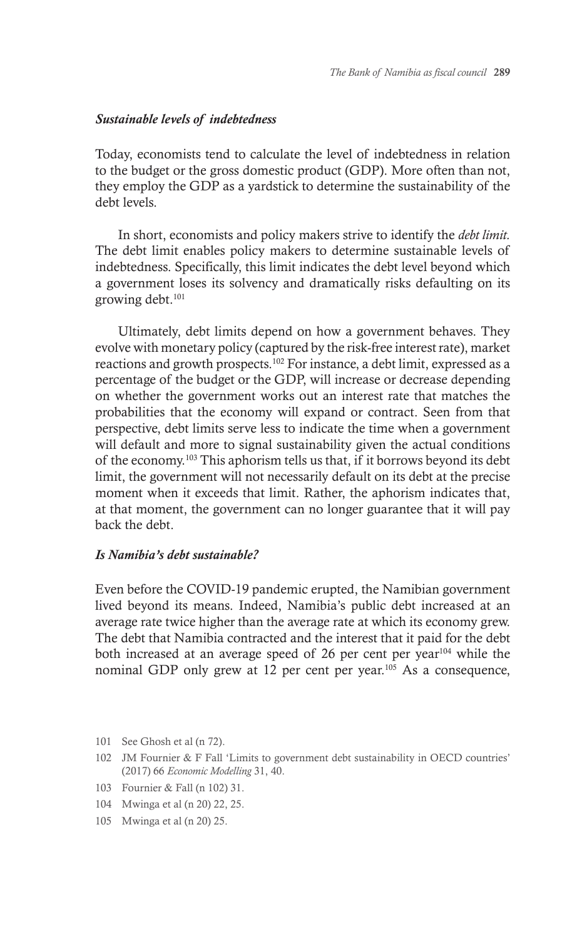#### *Sustainable levels of indebtedness*

Today, economists tend to calculate the level of indebtedness in relation to the budget or the gross domestic product (GDP). More often than not, they employ the GDP as a yardstick to determine the sustainability of the debt levels.

In short, economists and policy makers strive to identify the *debt limit.*  The debt limit enables policy makers to determine sustainable levels of indebtedness. Specifically, this limit indicates the debt level beyond which a government loses its solvency and dramatically risks defaulting on its growing debt.101

Ultimately, debt limits depend on how a government behaves. They evolve with monetary policy (captured by the risk-free interest rate), market reactions and growth prospects.102 For instance, a debt limit, expressed as a percentage of the budget or the GDP, will increase or decrease depending on whether the government works out an interest rate that matches the probabilities that the economy will expand or contract. Seen from that perspective, debt limits serve less to indicate the time when a government will default and more to signal sustainability given the actual conditions of the economy.103 This aphorism tells us that, if it borrows beyond its debt limit, the government will not necessarily default on its debt at the precise moment when it exceeds that limit. Rather, the aphorism indicates that, at that moment, the government can no longer guarantee that it will pay back the debt.

#### *Is Namibia's debt sustainable?*

Even before the COVID-19 pandemic erupted, the Namibian government lived beyond its means. Indeed, Namibia's public debt increased at an average rate twice higher than the average rate at which its economy grew. The debt that Namibia contracted and the interest that it paid for the debt both increased at an average speed of 26 per cent per year<sup>104</sup> while the nominal GDP only grew at 12 per cent per year.105 As a consequence,

- 101 See Ghosh et al (n 72).
- 102 JM Fournier & F Fall 'Limits to government debt sustainability in OECD countries' (2017) 66 *Economic Modelling* 31, 40.
- 103 Fournier & Fall (n 102) 31.
- 104 Mwinga et al (n 20) 22, 25.
- 105 Mwinga et al (n 20) 25.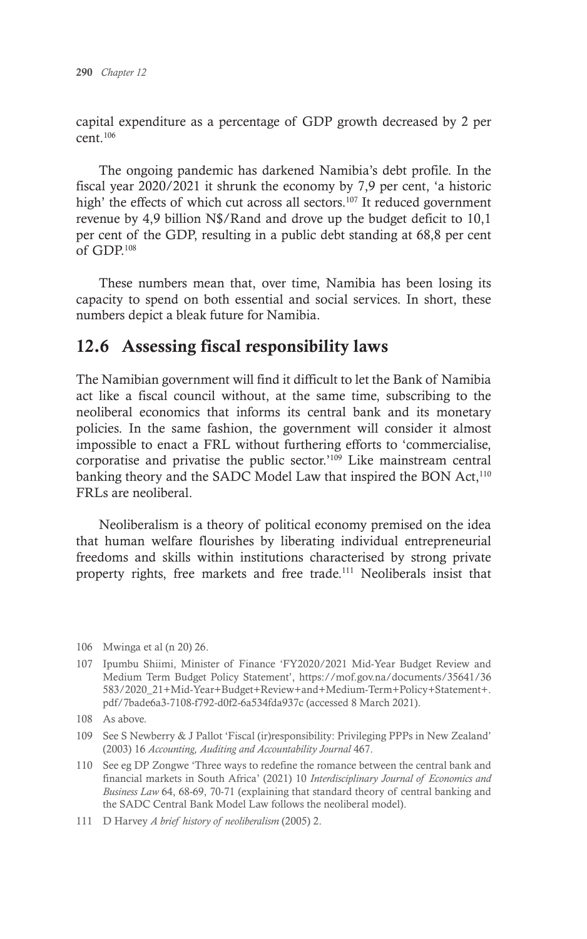capital expenditure as a percentage of GDP growth decreased by 2 per  $cent<sup>106</sup>$ 

The ongoing pandemic has darkened Namibia's debt profile. In the fiscal year 2020/2021 it shrunk the economy by 7,9 per cent, 'a historic high' the effects of which cut across all sectors.<sup>107</sup> It reduced government revenue by 4,9 billion N\$/Rand and drove up the budget deficit to 10,1 per cent of the GDP, resulting in a public debt standing at 68,8 per cent of GDP.108

These numbers mean that, over time, Namibia has been losing its capacity to spend on both essential and social services. In short, these numbers depict a bleak future for Namibia.

# 12.6 Assessing fiscal responsibility laws

The Namibian government will find it difficult to let the Bank of Namibia act like a fiscal council without, at the same time, subscribing to the neoliberal economics that informs its central bank and its monetary policies. In the same fashion, the government will consider it almost impossible to enact a FRL without furthering efforts to 'commercialise, corporatise and privatise the public sector.'109 Like mainstream central banking theory and the SADC Model Law that inspired the BON Act,<sup>110</sup> FRLs are neoliberal.

Neoliberalism is a theory of political economy premised on the idea that human welfare flourishes by liberating individual entrepreneurial freedoms and skills within institutions characterised by strong private property rights, free markets and free trade.<sup>111</sup> Neoliberals insist that

<sup>106</sup> Mwinga et al (n 20) 26.

<sup>107</sup> Ipumbu Shiimi, Minister of Finance 'FY2020/2021 Mid-Year Budget Review and Medium Term Budget Policy Statement', https://mof.gov.na/documents/35641/36 583/2020\_21+Mid-Year+Budget+Review+and+Medium-Term+Policy+Statement+. pdf/7bade6a3-7108-f792-d0f2-6a534fda937c (accessed 8 March 2021).

<sup>108</sup> As above.

<sup>109</sup> See S Newberry & J Pallot 'Fiscal (ir)responsibility: Privileging PPPs in New Zealand' (2003) 16 *Accounting, Auditing and Accountability Journal* 467.

<sup>110</sup> See eg DP Zongwe 'Three ways to redefine the romance between the central bank and financial markets in South Africa' (2021) 10 *Interdisciplinary Journal of Economics and Business Law* 64, 68-69, 70-71 (explaining that standard theory of central banking and the SADC Central Bank Model Law follows the neoliberal model).

<sup>111</sup> D Harvey *A brief history of neoliberalism* (2005) 2.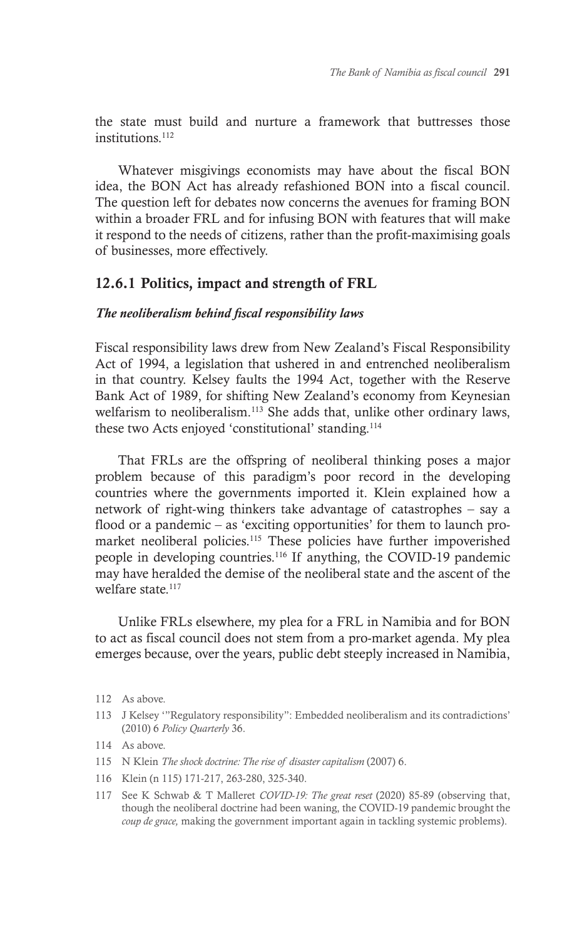the state must build and nurture a framework that buttresses those institutions<sup>112</sup>

Whatever misgivings economists may have about the fiscal BON idea, the BON Act has already refashioned BON into a fiscal council. The question left for debates now concerns the avenues for framing BON within a broader FRL and for infusing BON with features that will make it respond to the needs of citizens, rather than the profit-maximising goals of businesses, more effectively.

#### 12.6.1 Politics, impact and strength of FRL

#### *The neoliberalism behind fiscal responsibility laws*

Fiscal responsibility laws drew from New Zealand's Fiscal Responsibility Act of 1994, a legislation that ushered in and entrenched neoliberalism in that country. Kelsey faults the 1994 Act, together with the Reserve Bank Act of 1989, for shifting New Zealand's economy from Keynesian welfarism to neoliberalism.113 She adds that, unlike other ordinary laws, these two Acts enjoyed 'constitutional' standing.114

That FRLs are the offspring of neoliberal thinking poses a major problem because of this paradigm's poor record in the developing countries where the governments imported it. Klein explained how a network of right-wing thinkers take advantage of catastrophes – say a flood or a pandemic – as 'exciting opportunities' for them to launch promarket neoliberal policies.<sup>115</sup> These policies have further impoverished people in developing countries.116 If anything, the COVID-19 pandemic may have heralded the demise of the neoliberal state and the ascent of the welfare state.<sup>117</sup>

Unlike FRLs elsewhere, my plea for a FRL in Namibia and for BON to act as fiscal council does not stem from a pro-market agenda. My plea emerges because, over the years, public debt steeply increased in Namibia,

113 J Kelsey '"Regulatory responsibility": Embedded neoliberalism and its contradictions' (2010) 6 *Policy Quarterly* 36.

- 115 N Klein *The shock doctrine: The rise of disaster capitalism* (2007) 6.
- 116 Klein (n 115) 171-217, 263-280, 325-340.
- 117 See K Schwab & T Malleret *COVID-19: The great reset* (2020) 85-89 (observing that, though the neoliberal doctrine had been waning, the COVID-19 pandemic brought the *coup de grace,* making the government important again in tackling systemic problems).

<sup>112</sup> As above.

<sup>114</sup> As above.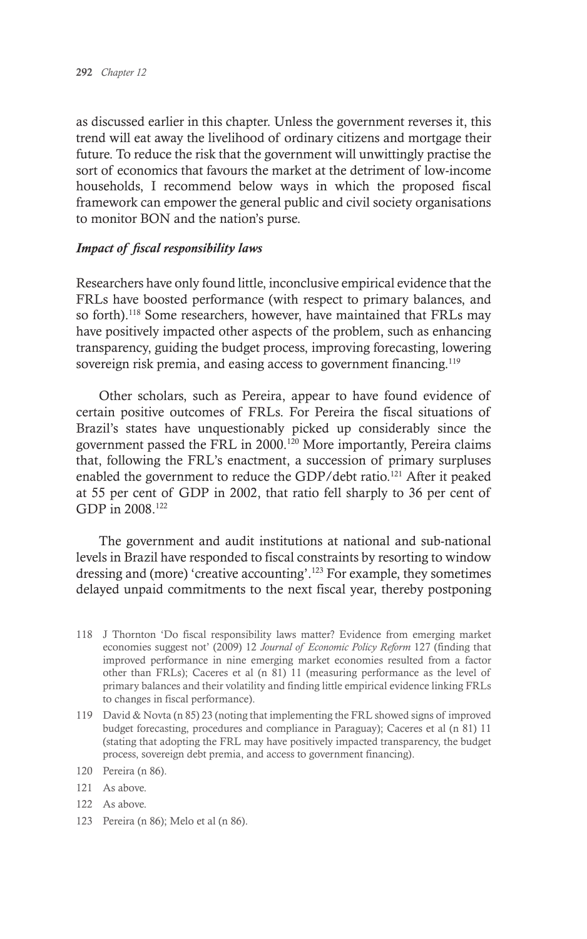as discussed earlier in this chapter. Unless the government reverses it, this trend will eat away the livelihood of ordinary citizens and mortgage their future. To reduce the risk that the government will unwittingly practise the sort of economics that favours the market at the detriment of low-income households, I recommend below ways in which the proposed fiscal framework can empower the general public and civil society organisations to monitor BON and the nation's purse.

#### *Impact of fiscal responsibility laws*

Researchers have only found little, inconclusive empirical evidence that the FRLs have boosted performance (with respect to primary balances, and so forth).<sup>118</sup> Some researchers, however, have maintained that FRLs may have positively impacted other aspects of the problem, such as enhancing transparency, guiding the budget process, improving forecasting, lowering sovereign risk premia, and easing access to government financing.<sup>119</sup>

Other scholars, such as Pereira, appear to have found evidence of certain positive outcomes of FRLs. For Pereira the fiscal situations of Brazil's states have unquestionably picked up considerably since the government passed the FRL in 2000.<sup>120</sup> More importantly, Pereira claims that, following the FRL's enactment, a succession of primary surpluses enabled the government to reduce the GDP/debt ratio.<sup>121</sup> After it peaked at 55 per cent of GDP in 2002, that ratio fell sharply to 36 per cent of GDP in 2008.<sup>122</sup>

The government and audit institutions at national and sub-national levels in Brazil have responded to fiscal constraints by resorting to window dressing and (more) 'creative accounting'.123 For example, they sometimes delayed unpaid commitments to the next fiscal year, thereby postponing

- 118 J Thornton 'Do fiscal responsibility laws matter? Evidence from emerging market economies suggest not' (2009) 12 *Journal of Economic Policy Reform* 127 (finding that improved performance in nine emerging market economies resulted from a factor other than FRLs); Caceres et al (n 81) 11 (measuring performance as the level of primary balances and their volatility and finding little empirical evidence linking FRLs to changes in fiscal performance).
- 119 David & Novta (n 85) 23 (noting that implementing the FRL showed signs of improved budget forecasting, procedures and compliance in Paraguay); Caceres et al (n 81) 11 (stating that adopting the FRL may have positively impacted transparency, the budget process, sovereign debt premia, and access to government financing).

- 121 As above.
- 122 As above.
- 123 Pereira (n 86); Melo et al (n 86).

<sup>120</sup> Pereira (n 86).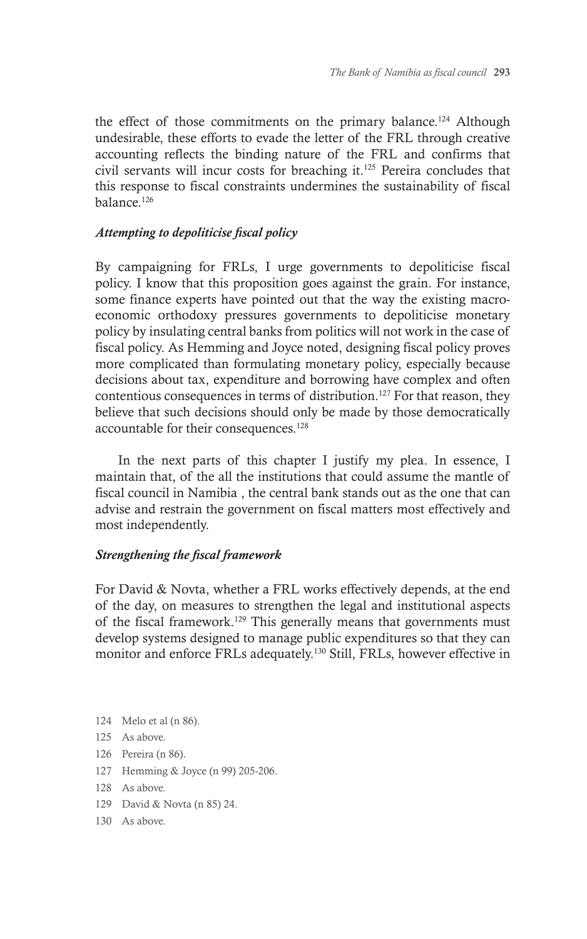the effect of those commitments on the primary balance.<sup>124</sup> Although undesirable, these efforts to evade the letter of the FRL through creative accounting reflects the binding nature of the FRL and confirms that civil servants will incur costs for breaching it.125 Pereira concludes that this response to fiscal constraints undermines the sustainability of fiscal balance.126

#### *Attempting to depoliticise fiscal policy*

By campaigning for FRLs, I urge governments to depoliticise fiscal policy. I know that this proposition goes against the grain. For instance, some finance experts have pointed out that the way the existing macroeconomic orthodoxy pressures governments to depoliticise monetary policy by insulating central banks from politics will not work in the case of fiscal policy. As Hemming and Joyce noted, designing fiscal policy proves more complicated than formulating monetary policy, especially because decisions about tax, expenditure and borrowing have complex and often contentious consequences in terms of distribution.<sup>127</sup> For that reason, they believe that such decisions should only be made by those democratically accountable for their consequences.128

In the next parts of this chapter I justify my plea. In essence, I maintain that, of the all the institutions that could assume the mantle of fiscal council in Namibia , the central bank stands out as the one that can advise and restrain the government on fiscal matters most effectively and most independently.

#### *Strengthening the fiscal framework*

For David & Novta, whether a FRL works effectively depends, at the end of the day, on measures to strengthen the legal and institutional aspects of the fiscal framework.129 This generally means that governments must develop systems designed to manage public expenditures so that they can monitor and enforce FRLs adequately.130 Still, FRLs, however effective in

- 124 Melo et al (n 86).
- 125 As above.
- 126 Pereira (n 86).
- 127 Hemming & Joyce (n 99) 205-206.
- 128 As above.
- 129 David & Novta (n 85) 24.
- 130 As above.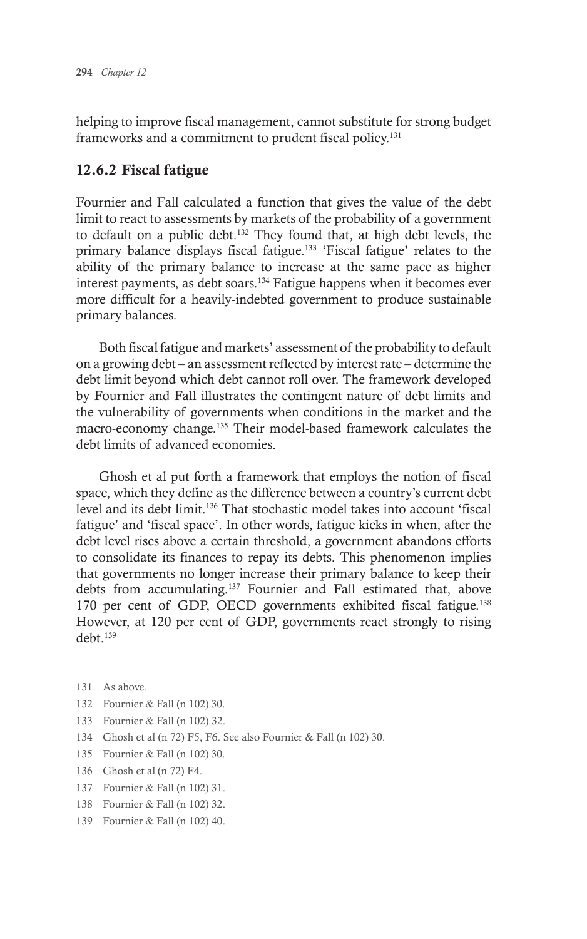helping to improve fiscal management, cannot substitute for strong budget frameworks and a commitment to prudent fiscal policy.<sup>131</sup>

## 12.6.2 Fiscal fatigue

Fournier and Fall calculated a function that gives the value of the debt limit to react to assessments by markets of the probability of a government to default on a public debt.132 They found that, at high debt levels, the primary balance displays fiscal fatigue.<sup>133</sup> 'Fiscal fatigue' relates to the ability of the primary balance to increase at the same pace as higher interest payments, as debt soars.<sup>134</sup> Fatigue happens when it becomes ever more difficult for a heavily-indebted government to produce sustainable primary balances.

Both fiscal fatigue and markets' assessment of the probability to default on a growing debt – an assessment reflected by interest rate – determine the debt limit beyond which debt cannot roll over. The framework developed by Fournier and Fall illustrates the contingent nature of debt limits and the vulnerability of governments when conditions in the market and the macro-economy change.<sup>135</sup> Their model-based framework calculates the debt limits of advanced economies.

Ghosh et al put forth a framework that employs the notion of fiscal space, which they define as the difference between a country's current debt level and its debt limit.136 That stochastic model takes into account 'fiscal fatigue' and 'fiscal space'. In other words, fatigue kicks in when, after the debt level rises above a certain threshold, a government abandons efforts to consolidate its finances to repay its debts. This phenomenon implies that governments no longer increase their primary balance to keep their debts from accumulating.137 Fournier and Fall estimated that, above 170 per cent of GDP, OECD governments exhibited fiscal fatigue.138 However, at 120 per cent of GDP, governments react strongly to rising debt.139

- 131 As above.
- 132 Fournier & Fall (n 102) 30.
- 133 Fournier & Fall (n 102) 32.
- 134 Ghosh et al (n 72) F5, F6. See also Fournier & Fall (n 102) 30.
- 135 Fournier & Fall (n 102) 30.
- 136 Ghosh et al (n 72) F4.
- 137 Fournier & Fall (n 102) 31.
- 138 Fournier & Fall (n 102) 32.
- 139 Fournier & Fall (n 102) 40.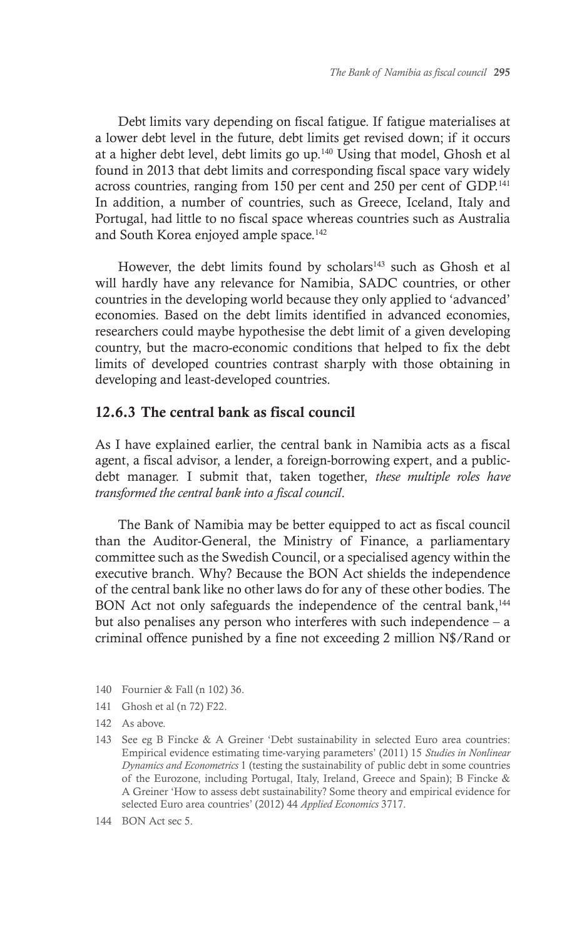Debt limits vary depending on fiscal fatigue. If fatigue materialises at a lower debt level in the future, debt limits get revised down; if it occurs at a higher debt level, debt limits go up.140 Using that model, Ghosh et al found in 2013 that debt limits and corresponding fiscal space vary widely across countries, ranging from 150 per cent and 250 per cent of GDP.141 In addition, a number of countries, such as Greece, Iceland, Italy and Portugal, had little to no fiscal space whereas countries such as Australia and South Korea enjoyed ample space.<sup>142</sup>

However, the debt limits found by scholars<sup>143</sup> such as Ghosh et al will hardly have any relevance for Namibia, SADC countries, or other countries in the developing world because they only applied to 'advanced' economies. Based on the debt limits identified in advanced economies, researchers could maybe hypothesise the debt limit of a given developing country, but the macro-economic conditions that helped to fix the debt limits of developed countries contrast sharply with those obtaining in developing and least-developed countries.

#### 12.6.3 The central bank as fiscal council

As I have explained earlier, the central bank in Namibia acts as a fiscal agent, a fiscal advisor, a lender, a foreign-borrowing expert, and a publicdebt manager. I submit that, taken together, *these multiple roles have transformed the central bank into a fiscal council*.

The Bank of Namibia may be better equipped to act as fiscal council than the Auditor-General, the Ministry of Finance, a parliamentary committee such as the Swedish Council, or a specialised agency within the executive branch. Why? Because the BON Act shields the independence of the central bank like no other laws do for any of these other bodies. The BON Act not only safeguards the independence of the central bank,<sup>144</sup> but also penalises any person who interferes with such independence  $-$  a criminal offence punished by a fine not exceeding 2 million N\$/Rand or

- 140 Fournier & Fall (n 102) 36.
- 141 Ghosh et al (n 72) F22.
- 142 As above.
- 143 See eg B Fincke & A Greiner 'Debt sustainability in selected Euro area countries: Empirical evidence estimating time-varying parameters' (2011) 15 *Studies in Nonlinear Dynamics and Econometrics* 1 (testing the sustainability of public debt in some countries of the Eurozone, including Portugal, Italy, Ireland, Greece and Spain); B Fincke & A Greiner 'How to assess debt sustainability? Some theory and empirical evidence for selected Euro area countries' (2012) 44 *Applied Economics* 3717.
- 144 BON Act sec 5.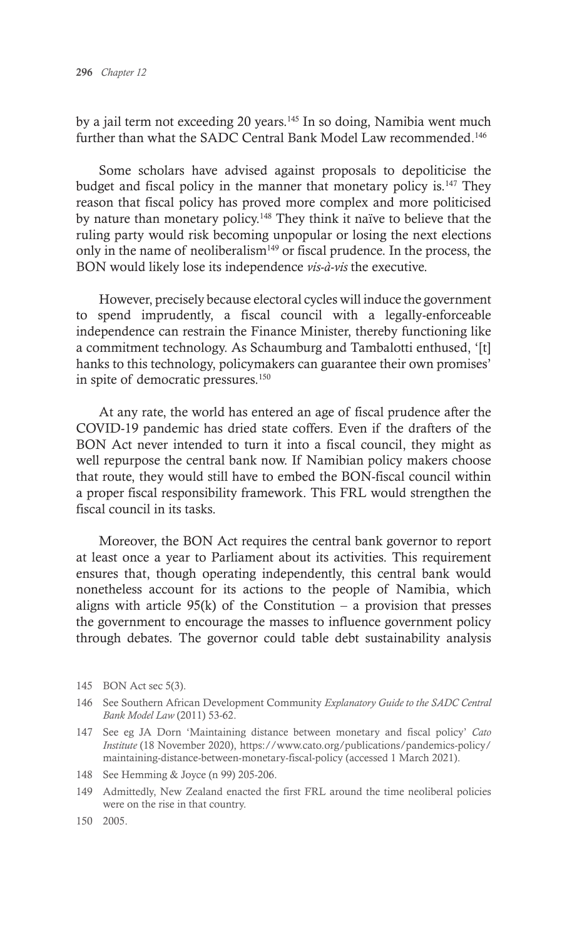by a jail term not exceeding 20 years.145 In so doing, Namibia went much further than what the SADC Central Bank Model Law recommended.<sup>146</sup>

Some scholars have advised against proposals to depoliticise the budget and fiscal policy in the manner that monetary policy is.147 They reason that fiscal policy has proved more complex and more politicised by nature than monetary policy.148 They think it naïve to believe that the ruling party would risk becoming unpopular or losing the next elections only in the name of neoliberalism $149$  or fiscal prudence. In the process, the BON would likely lose its independence *vis-à-vis* the executive.

However, precisely because electoral cycles will induce the government to spend imprudently, a fiscal council with a legally-enforceable independence can restrain the Finance Minister, thereby functioning like a commitment technology. As Schaumburg and Tambalotti enthused, '[t] hanks to this technology, policymakers can guarantee their own promises' in spite of democratic pressures.150

At any rate, the world has entered an age of fiscal prudence after the COVID-19 pandemic has dried state coffers. Even if the drafters of the BON Act never intended to turn it into a fiscal council, they might as well repurpose the central bank now. If Namibian policy makers choose that route, they would still have to embed the BON-fiscal council within a proper fiscal responsibility framework. This FRL would strengthen the fiscal council in its tasks.

Moreover, the BON Act requires the central bank governor to report at least once a year to Parliament about its activities. This requirement ensures that, though operating independently, this central bank would nonetheless account for its actions to the people of Namibia, which aligns with article  $95(k)$  of the Constitution – a provision that presses the government to encourage the masses to influence government policy through debates. The governor could table debt sustainability analysis

<sup>145</sup> BON Act sec 5(3).

<sup>146</sup> See Southern African Development Community *Explanatory Guide to the SADC Central Bank Model Law* (2011) 53-62.

<sup>147</sup> See eg JA Dorn 'Maintaining distance between monetary and fiscal policy' *Cato Institute* (18 November 2020), https://www.cato.org/publications/pandemics-policy/ maintaining-distance-between-monetary-fiscal-policy (accessed 1 March 2021).

<sup>148</sup> See Hemming & Joyce (n 99) 205-206.

<sup>149</sup> Admittedly, New Zealand enacted the first FRL around the time neoliberal policies were on the rise in that country.

<sup>150</sup> 2005.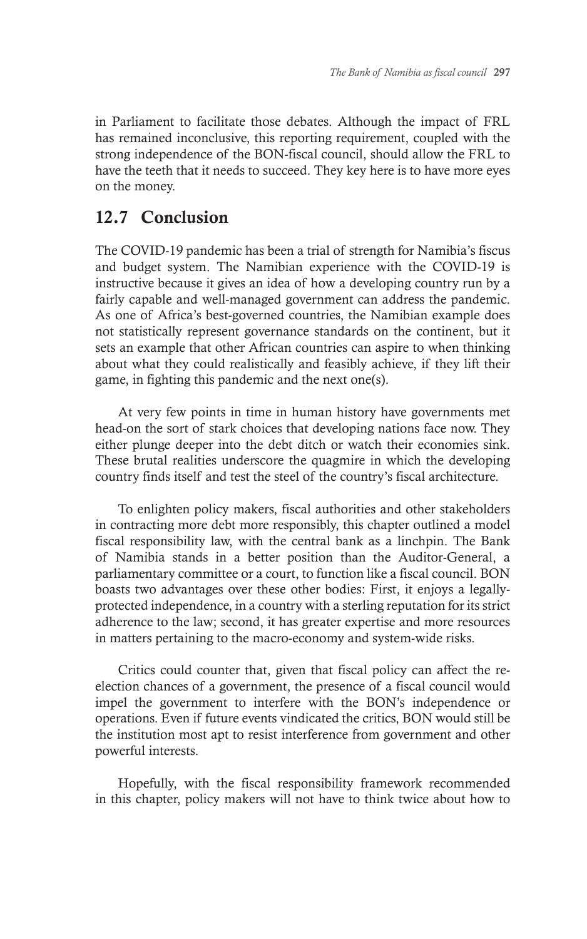in Parliament to facilitate those debates. Although the impact of FRL has remained inconclusive, this reporting requirement, coupled with the strong independence of the BON-fiscal council, should allow the FRL to have the teeth that it needs to succeed. They key here is to have more eyes on the money.

# 12.7 Conclusion

The COVID-19 pandemic has been a trial of strength for Namibia's fiscus and budget system. The Namibian experience with the COVID-19 is instructive because it gives an idea of how a developing country run by a fairly capable and well-managed government can address the pandemic. As one of Africa's best-governed countries, the Namibian example does not statistically represent governance standards on the continent, but it sets an example that other African countries can aspire to when thinking about what they could realistically and feasibly achieve, if they lift their game, in fighting this pandemic and the next one(s).

At very few points in time in human history have governments met head-on the sort of stark choices that developing nations face now. They either plunge deeper into the debt ditch or watch their economies sink. These brutal realities underscore the quagmire in which the developing country finds itself and test the steel of the country's fiscal architecture.

To enlighten policy makers, fiscal authorities and other stakeholders in contracting more debt more responsibly, this chapter outlined a model fiscal responsibility law, with the central bank as a linchpin. The Bank of Namibia stands in a better position than the Auditor-General, a parliamentary committee or a court, to function like a fiscal council. BON boasts two advantages over these other bodies: First, it enjoys a legallyprotected independence, in a country with a sterling reputation for its strict adherence to the law; second, it has greater expertise and more resources in matters pertaining to the macro-economy and system-wide risks.

Critics could counter that, given that fiscal policy can affect the reelection chances of a government, the presence of a fiscal council would impel the government to interfere with the BON's independence or operations. Even if future events vindicated the critics, BON would still be the institution most apt to resist interference from government and other powerful interests.

Hopefully, with the fiscal responsibility framework recommended in this chapter, policy makers will not have to think twice about how to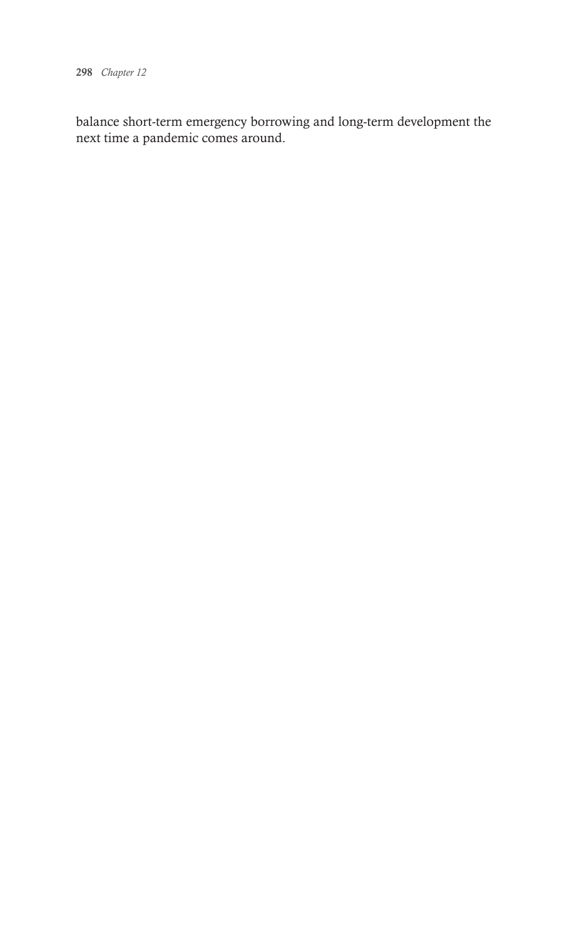298 *Chapter 12*

balance short-term emergency borrowing and long-term development the next time a pandemic comes around.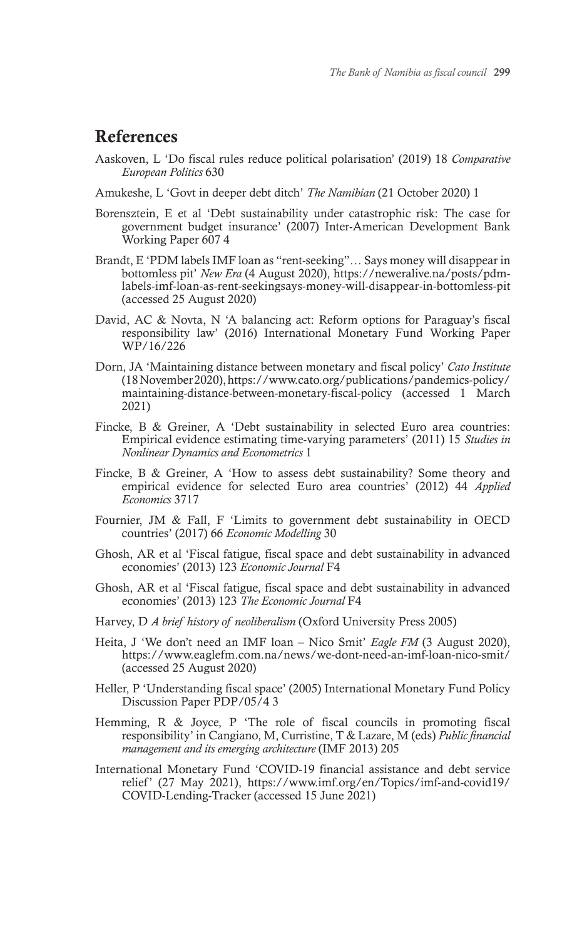# References

- Aaskoven, L 'Do fiscal rules reduce political polarisation' (2019) 18 *Comparative European Politics* 630
- Amukeshe, L 'Govt in deeper debt ditch' *The Namibian* (21 October 2020) 1
- Borensztein, E et al 'Debt sustainability under catastrophic risk: The case for government budget insurance' (2007) Inter-American Development Bank Working Paper 607 4
- Brandt, E 'PDM labels IMF loan as "rent-seeking"… Says money will disappear in bottomless pit' *New Era* (4 August 2020), https://neweralive.na/posts/pdmlabels-imf-loan-as-rent-seekingsays-money-will-disappear-in-bottomless-pit (accessed 25 August 2020)
- David, AC & Novta, N 'A balancing act: Reform options for Paraguay's fiscal responsibility law' (2016) International Monetary Fund Working Paper WP/16/226
- Dorn, JA 'Maintaining distance between monetary and fiscal policy' *Cato Institute*  (18November 2020), https://www.cato.org/publications/pandemics-policy/ maintaining-distance-between-monetary-fiscal-policy (accessed 1 March 2021)
- Fincke, B & Greiner, A 'Debt sustainability in selected Euro area countries: Empirical evidence estimating time-varying parameters' (2011) 15 *Studies in Nonlinear Dynamics and Econometrics* 1
- Fincke, B & Greiner, A 'How to assess debt sustainability? Some theory and empirical evidence for selected Euro area countries' (2012) 44 *Applied Economics* 3717
- Fournier, JM & Fall, F 'Limits to government debt sustainability in OECD countries' (2017) 66 *Economic Modelling* 30
- Ghosh, AR et al 'Fiscal fatigue, fiscal space and debt sustainability in advanced economies' (2013) 123 *Economic Journal* F4
- Ghosh, AR et al 'Fiscal fatigue, fiscal space and debt sustainability in advanced economies' (2013) 123 *The Economic Journal* F4
- Harvey, D *A brief history of neoliberalism* (Oxford University Press 2005)
- Heita, J 'We don't need an IMF loan Nico Smit' *Eagle FM* (3 August 2020), https://www.eaglefm.com.na/news/we-dont-need-an-imf-loan-nico-smit/ (accessed 25 August 2020)
- Heller, P 'Understanding fiscal space' (2005) International Monetary Fund Policy Discussion Paper PDP/05/4 3
- Hemming, R & Joyce, P 'The role of fiscal councils in promoting fiscal responsibility' in Cangiano, M, Curristine, T & Lazare, M (eds) *Public financial management and its emerging architecture* (IMF 2013) 205
- International Monetary Fund 'COVID-19 financial assistance and debt service relief' (27 May 2021), https://www.imf.org/en/Topics/imf-and-covid19/ COVID-Lending-Tracker (accessed 15 June 2021)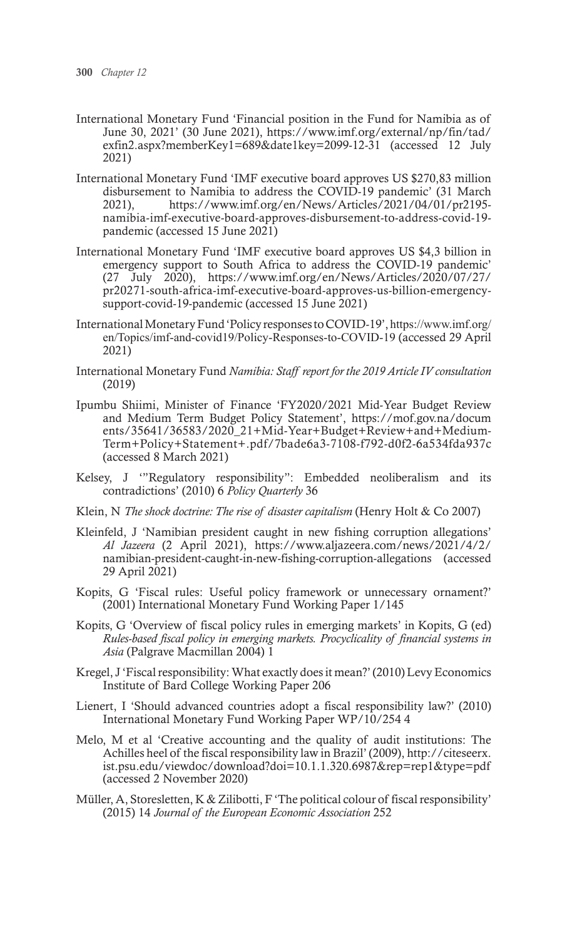- International Monetary Fund 'Financial position in the Fund for Namibia as of June 30, 2021' (30 June 2021), https://www.imf.org/external/np/fin/tad/ exfin2.aspx?memberKey1=689&date1key=2099-12-31 (accessed 12 July 2021)
- International Monetary Fund 'IMF executive board approves US \$270,83 million disbursement to Namibia to address the COVID-19 pandemic' (31 March 2021), https://www.imf.org/en/News/Articles/2021/04/01/pr2195 namibia-imf-executive-board-approves-disbursement-to-address-covid-19 pandemic (accessed 15 June 2021)
- International Monetary Fund 'IMF executive board approves US \$4,3 billion in emergency support to South Africa to address the COVID-19 pandemic' (27 July 2020), https://www.imf.org/en/News/Articles/2020/07/27/ pr20271-south-africa-imf-executive-board-approves-us-billion-emergencysupport-covid-19-pandemic (accessed 15 June 2021)
- International Monetary Fund 'Policy responses to COVID-19', https://www.imf.org/ en/Topics/imf-and-covid19/Policy-Responses-to-COVID-19 (accessed 29 April 2021)
- International Monetary Fund *Namibia: Staff report for the 2019 Article IV consultation*  (2019)
- Ipumbu Shiimi, Minister of Finance 'FY2020/2021 Mid-Year Budget Review and Medium Term Budget Policy Statement', https://mof.gov.na/docum ents/35641/36583/2020\_21+Mid-Year+Budget+Review+and+Medium-Term+Policy+Statement+.pdf/7bade6a3-7108-f792-d0f2-6a534fda937c (accessed 8 March 2021)
- Kelsey, J '"Regulatory responsibility": Embedded neoliberalism and its contradictions' (2010) 6 *Policy Quarterly* 36
- Klein, N *The shock doctrine: The rise of disaster capitalism* (Henry Holt & Co 2007)
- Kleinfeld, J 'Namibian president caught in new fishing corruption allegations' *Al Jazeera* (2 April 2021), https://www.aljazeera.com/news/2021/4/2/ namibian-president-caught-in-new-fishing-corruption-allegations (accessed 29 April 2021)
- Kopits, G 'Fiscal rules: Useful policy framework or unnecessary ornament?' (2001) International Monetary Fund Working Paper 1/145
- Kopits, G 'Overview of fiscal policy rules in emerging markets' in Kopits, G (ed) *Rules-based fiscal policy in emerging markets. Procyclicality of financial systems in Asia* (Palgrave Macmillan 2004) 1
- Kregel, J 'Fiscal responsibility: What exactly does it mean?' (2010) Levy Economics Institute of Bard College Working Paper 206
- Lienert, I 'Should advanced countries adopt a fiscal responsibility law?' (2010) International Monetary Fund Working Paper WP/10/254 4
- Melo, M et al 'Creative accounting and the quality of audit institutions: The Achilles heel of the fiscal responsibility law in Brazil' (2009), http://citeseerx. ist.psu.edu/viewdoc/download?doi=10.1.1.320.6987&rep=rep1&type=pdf (accessed 2 November 2020)
- Müller, A, Storesletten, K & Zilibotti, F 'The political colour of fiscal responsibility' (2015) 14 *Journal of the European Economic Association* 252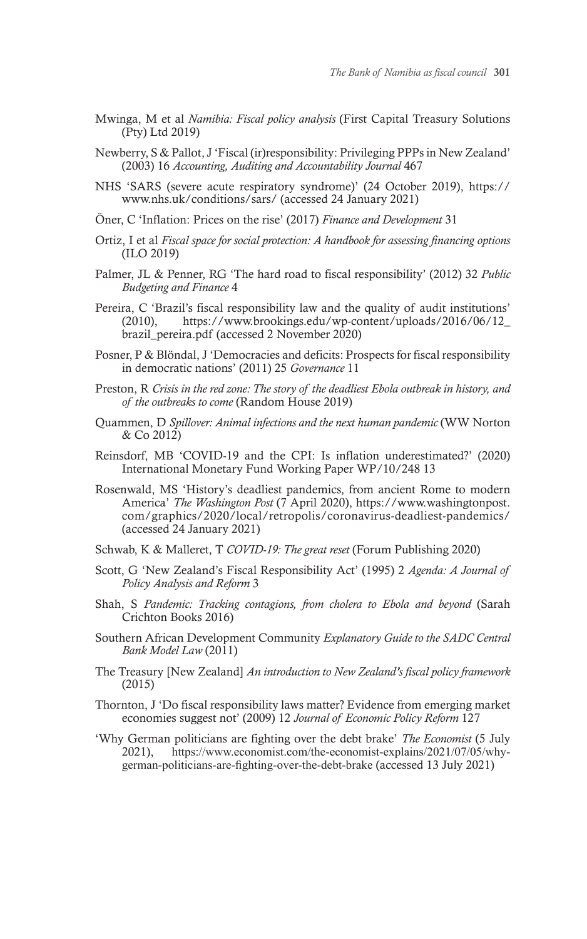- Mwinga, M et al *Namibia: Fiscal policy analysis* (First Capital Treasury Solutions (Pty) Ltd 2019)
- Newberry, S & Pallot, J 'Fiscal (ir)responsibility: Privileging PPPs in New Zealand' (2003) 16 *Accounting, Auditing and Accountability Journal* 467
- NHS 'SARS (severe acute respiratory syndrome)' (24 October 2019), https:// www.nhs.uk/conditions/sars/ (accessed 24 January 2021)
- Öner, C 'Inflation: Prices on the rise' (2017) *Finance and Development* 31
- Ortiz, I et al *Fiscal space for social protection: A handbook for assessing financing options* (ILO 2019)
- Palmer, JL & Penner, RG 'The hard road to fiscal responsibility' (2012) 32 *Public Budgeting and Finance* 4
- Pereira, C 'Brazil's fiscal responsibility law and the quality of audit institutions' (2010), https://www.brookings.edu/wp-content/uploads/2016/06/12\_ brazil\_pereira.pdf (accessed 2 November 2020)
- Posner, P & Blöndal, J 'Democracies and deficits: Prospects for fiscal responsibility in democratic nations' (2011) 25 *Governance* 11
- Preston, R *Crisis in the red zone: The story of the deadliest Ebola outbreak in history, and of the outbreaks to come* (Random House 2019)
- Quammen, D *Spillover: Animal infections and the next human pandemic* (WW Norton & Co 2012)
- Reinsdorf, MB 'COVID-19 and the CPI: Is inflation underestimated?' (2020) International Monetary Fund Working Paper WP/10/248 13
- Rosenwald, MS 'History's deadliest pandemics, from ancient Rome to modern America' *The Washington Post* (7 April 2020), https://www.washingtonpost. com/graphics/2020/local/retropolis/coronavirus-deadliest-pandemics/ (accessed 24 January 2021)
- Schwab, K & Malleret, T *COVID-19: The great reset* (Forum Publishing 2020)
- Scott, G 'New Zealand's Fiscal Responsibility Act' (1995) 2 *Agenda: A Journal of Policy Analysis and Reform* 3
- Shah, S *Pandemic: Tracking contagions, from cholera to Ebola and beyond* (Sarah Crichton Books 2016)
- Southern African Development Community *Explanatory Guide to the SADC Central Bank Model Law* (2011)
- The Treasury [New Zealand] *An introduction to New Zealand's fiscal policy framework*  (2015)
- Thornton, J 'Do fiscal responsibility laws matter? Evidence from emerging market economies suggest not' (2009) 12 *Journal of Economic Policy Reform* 127
- 'Why German politicians are fighting over the debt brake' *The Economist* (5 July https://www.economist.com/the-economist-explains/2021/07/05/whygerman-politicians-are-fighting-over-the-debt-brake (accessed 13 July 2021)